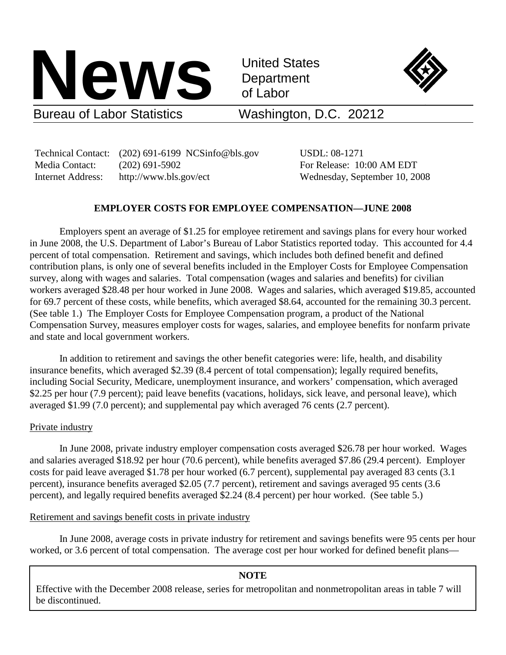

United States **Department** of Labor



# Washington, D.C. 20212

 Technical Contact: (202) 691-6199 NCSinfo@bls.gov USDL: 08-1271 Media Contact: (202) 691-5902 For Release: 10:00 AM EDT Internet Address: http://www.bls.gov/ect Wednesday, September 10, 2008

# **EMPLOYER COSTS FOR EMPLOYEE COMPENSATION—JUNE 2008**

Employers spent an average of \$1.25 for employee retirement and savings plans for every hour worked in June 2008, the U.S. Department of Labor's Bureau of Labor Statistics reported today. This accounted for 4.4 percent of total compensation. Retirement and savings, which includes both defined benefit and defined contribution plans, is only one of several benefits included in the Employer Costs for Employee Compensation survey, along with wages and salaries. Total compensation (wages and salaries and benefits) for civilian workers averaged \$28.48 per hour worked in June 2008. Wages and salaries, which averaged \$19.85, accounted for 69.7 percent of these costs, while benefits, which averaged \$8.64, accounted for the remaining 30.3 percent. (See table 1.) The Employer Costs for Employee Compensation program, a product of the National Compensation Survey, measures employer costs for wages, salaries, and employee benefits for nonfarm private and state and local government workers.

In addition to retirement and savings the other benefit categories were: life, health, and disability insurance benefits, which averaged \$2.39 (8.4 percent of total compensation); legally required benefits, including Social Security, Medicare, unemployment insurance, and workers' compensation, which averaged \$2.25 per hour (7.9 percent); paid leave benefits (vacations, holidays, sick leave, and personal leave), which averaged \$1.99 (7.0 percent); and supplemental pay which averaged 76 cents (2.7 percent).

# Private industry

In June 2008, private industry employer compensation costs averaged \$26.78 per hour worked. Wages and salaries averaged \$18.92 per hour (70.6 percent), while benefits averaged \$7.86 (29.4 percent). Employer costs for paid leave averaged \$1.78 per hour worked (6.7 percent), supplemental pay averaged 83 cents (3.1 percent), insurance benefits averaged \$2.05 (7.7 percent), retirement and savings averaged 95 cents (3.6 percent), and legally required benefits averaged \$2.24 (8.4 percent) per hour worked. (See table 5.)

# Retirement and savings benefit costs in private industry

In June 2008, average costs in private industry for retirement and savings benefits were 95 cents per hour worked, or 3.6 percent of total compensation. The average cost per hour worked for defined benefit plans—

# **NOTE**

Effective with the December 2008 release, series for metropolitan and nonmetropolitan areas in table 7 will be discontinued.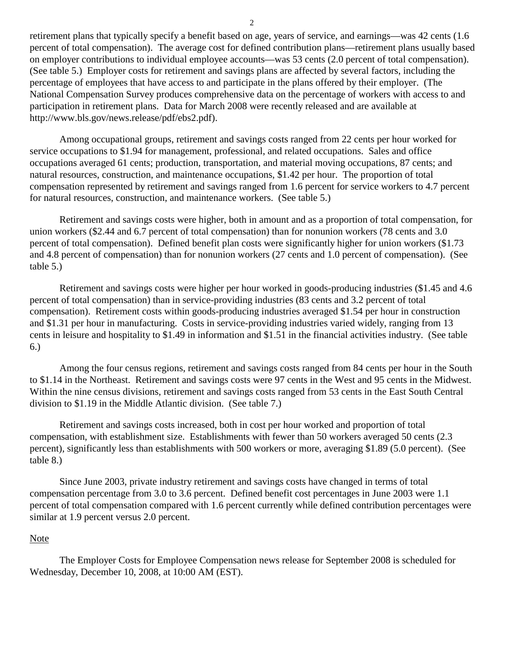retirement plans that typically specify a benefit based on age, years of service, and earnings—was 42 cents (1.6 percent of total compensation). The average cost for defined contribution plans—retirement plans usually based on employer contributions to individual employee accounts—was 53 cents (2.0 percent of total compensation). (See table 5.) Employer costs for retirement and savings plans are affected by several factors, including the percentage of employees that have access to and participate in the plans offered by their employer. (The National Compensation Survey produces comprehensive data on the percentage of workers with access to and participation in retirement plans. Data for March 2008 were recently released and are available at http://www.bls.gov/news.release/pdf/ebs2.pdf).

Among occupational groups, retirement and savings costs ranged from 22 cents per hour worked for service occupations to \$1.94 for management, professional, and related occupations. Sales and office occupations averaged 61 cents; production, transportation, and material moving occupations, 87 cents; and natural resources, construction, and maintenance occupations, \$1.42 per hour. The proportion of total compensation represented by retirement and savings ranged from 1.6 percent for service workers to 4.7 percent for natural resources, construction, and maintenance workers. (See table 5.)

Retirement and savings costs were higher, both in amount and as a proportion of total compensation, for union workers (\$2.44 and 6.7 percent of total compensation) than for nonunion workers (78 cents and 3.0 percent of total compensation). Defined benefit plan costs were significantly higher for union workers (\$1.73 and 4.8 percent of compensation) than for nonunion workers (27 cents and 1.0 percent of compensation). (See table 5.)

Retirement and savings costs were higher per hour worked in goods-producing industries (\$1.45 and 4.6 percent of total compensation) than in service-providing industries (83 cents and 3.2 percent of total compensation). Retirement costs within goods-producing industries averaged \$1.54 per hour in construction and \$1.31 per hour in manufacturing. Costs in service-providing industries varied widely, ranging from 13 cents in leisure and hospitality to \$1.49 in information and \$1.51 in the financial activities industry. (See table 6.)

Among the four census regions, retirement and savings costs ranged from 84 cents per hour in the South to \$1.14 in the Northeast. Retirement and savings costs were 97 cents in the West and 95 cents in the Midwest. Within the nine census divisions, retirement and savings costs ranged from 53 cents in the East South Central division to \$1.19 in the Middle Atlantic division. (See table 7.)

Retirement and savings costs increased, both in cost per hour worked and proportion of total compensation, with establishment size. Establishments with fewer than 50 workers averaged 50 cents (2.3 percent), significantly less than establishments with 500 workers or more, averaging \$1.89 (5.0 percent). (See table 8.)

Since June 2003, private industry retirement and savings costs have changed in terms of total compensation percentage from 3.0 to 3.6 percent. Defined benefit cost percentages in June 2003 were 1.1 percent of total compensation compared with 1.6 percent currently while defined contribution percentages were similar at 1.9 percent versus 2.0 percent.

## **Note**

The Employer Costs for Employee Compensation news release for September 2008 is scheduled for Wednesday, December 10, 2008, at 10:00 AM (EST).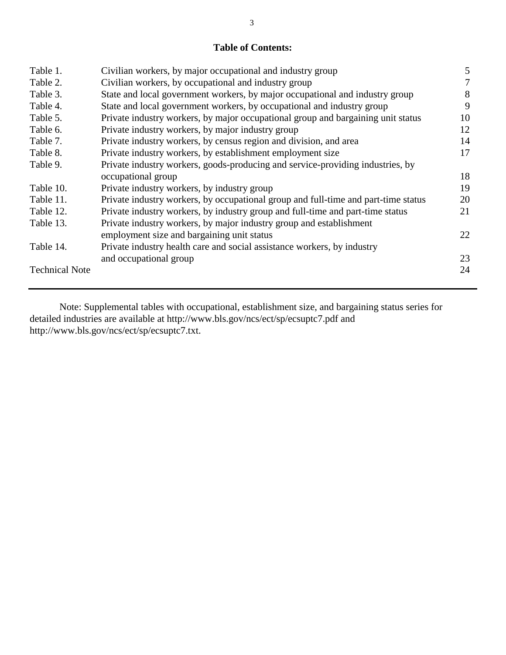# **Table of Contents:**

| Table 1.              | Civilian workers, by major occupational and industry group                         | 5  |
|-----------------------|------------------------------------------------------------------------------------|----|
| Table 2.              | Civilian workers, by occupational and industry group                               | 7  |
| Table 3.              | State and local government workers, by major occupational and industry group       | 8  |
| Table 4.              | State and local government workers, by occupational and industry group             | 9  |
| Table 5.              | Private industry workers, by major occupational group and bargaining unit status   | 10 |
| Table 6.              | Private industry workers, by major industry group                                  | 12 |
| Table 7.              | Private industry workers, by census region and division, and area                  | 14 |
| Table 8.              | Private industry workers, by establishment employment size                         | 17 |
| Table 9.              | Private industry workers, goods-producing and service-providing industries, by     |    |
|                       | occupational group                                                                 | 18 |
| Table 10.             | Private industry workers, by industry group                                        | 19 |
| Table 11.             | Private industry workers, by occupational group and full-time and part-time status | 20 |
| Table 12.             | Private industry workers, by industry group and full-time and part-time status     | 21 |
| Table 13.             | Private industry workers, by major industry group and establishment                |    |
|                       | employment size and bargaining unit status                                         | 22 |
| Table 14.             | Private industry health care and social assistance workers, by industry            |    |
|                       | and occupational group                                                             | 23 |
| <b>Technical Note</b> |                                                                                    | 24 |

Note: Supplemental tables with occupational, establishment size, and bargaining status series for detailed industries are available at http://www.bls.gov/ncs/ect/sp/ecsuptc7.pdf and http://www.bls.gov/ncs/ect/sp/ecsuptc7.txt.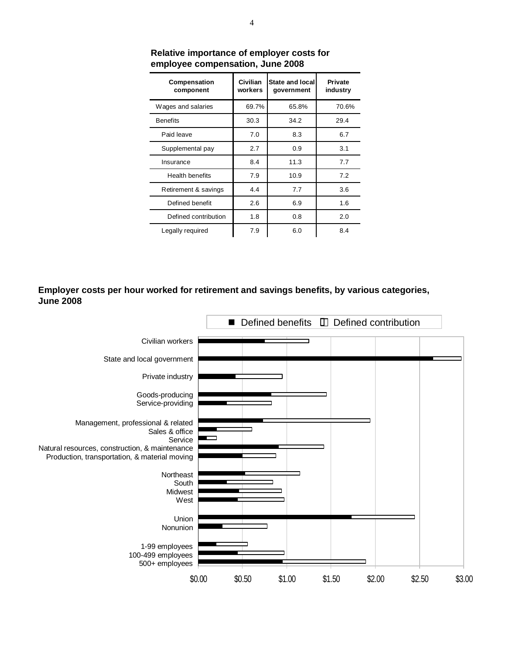| Compensation<br>component | Civilian<br>workers | <b>State and local</b><br>government | Private<br>industry |
|---------------------------|---------------------|--------------------------------------|---------------------|
| Wages and salaries        | 69.7%               | 65.8%                                | 70.6%               |
| <b>Benefits</b>           | 30.3                | 34.2                                 | 29.4                |
| Paid leave                | 7.0                 | 8.3                                  | 6.7                 |
| Supplemental pay          | 2.7                 | 0.9                                  | 3.1                 |
| Insurance                 | 8.4                 | 11.3                                 | 7.7                 |
| Health benefits           | 7.9                 | 10.9                                 | 7.2                 |
| Retirement & savings      | 4.4                 | 7.7                                  | 3.6                 |
| Defined benefit           | 2.6                 | 6.9                                  | 1.6                 |
| Defined contribution      | 1.8                 | 0.8                                  | 2.0                 |
| Legally required          | 7.9                 | 6.0                                  | 8.4                 |

**Relative importance of employer costs for employee compensation, June 2008**

**Employer costs per hour worked for retirement and savings benefits, by various categories, June 2008**

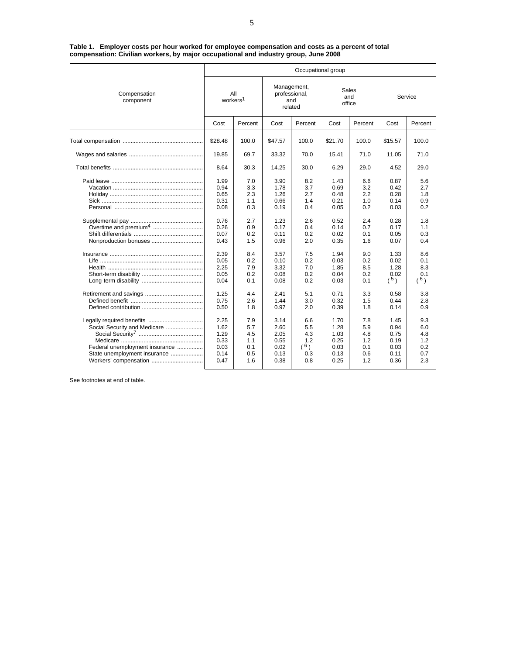| Table 1. Employer costs per hour worked for employee compensation and costs as a percent of total |  |
|---------------------------------------------------------------------------------------------------|--|
| compensation: Civilian workers, by major occupational and industry group, June 2008               |  |

|                                                                                                                                                      | Occupational group                                                                                           |                                                                                                |                                                                                                              |                                                                                                |                                                                                                              |                                                                                                             |                                                                                                             |                                                                                                |  |  |  |
|------------------------------------------------------------------------------------------------------------------------------------------------------|--------------------------------------------------------------------------------------------------------------|------------------------------------------------------------------------------------------------|--------------------------------------------------------------------------------------------------------------|------------------------------------------------------------------------------------------------|--------------------------------------------------------------------------------------------------------------|-------------------------------------------------------------------------------------------------------------|-------------------------------------------------------------------------------------------------------------|------------------------------------------------------------------------------------------------|--|--|--|
| Compensation<br>component                                                                                                                            | All<br>workers <sup>1</sup>                                                                                  |                                                                                                | Management,<br>professional,<br>and                                                                          | related                                                                                        | Sales<br>and<br>office                                                                                       |                                                                                                             | Service                                                                                                     |                                                                                                |  |  |  |
|                                                                                                                                                      | Cost                                                                                                         | Percent                                                                                        | Cost                                                                                                         | Percent                                                                                        | Cost                                                                                                         | Percent                                                                                                     | Cost                                                                                                        | Percent                                                                                        |  |  |  |
|                                                                                                                                                      | \$28.48                                                                                                      | 100.0                                                                                          | \$47.57                                                                                                      | 100.0                                                                                          | \$21.70                                                                                                      | 100.0                                                                                                       | \$15.57                                                                                                     | 100.0                                                                                          |  |  |  |
|                                                                                                                                                      | 19.85                                                                                                        | 69.7                                                                                           | 33.32                                                                                                        | 70.0                                                                                           | 15.41                                                                                                        | 71.0                                                                                                        | 11.05                                                                                                       | 71.0                                                                                           |  |  |  |
|                                                                                                                                                      | 8.64                                                                                                         | 30.3                                                                                           | 14.25                                                                                                        | 30.0                                                                                           | 6.29                                                                                                         | 29.0                                                                                                        | 4.52                                                                                                        | 29.0                                                                                           |  |  |  |
| Overtime and premium <sup>4</sup><br>Nonproduction bonuses                                                                                           | 1.99<br>0.94<br>0.65<br>0.31<br>0.08<br>0.76<br>0.26<br>0.07<br>0.43<br>2.39<br>0.05<br>2.25<br>0.05<br>0.04 | 7.0<br>3.3<br>2.3<br>1.1<br>0.3<br>2.7<br>0.9<br>0.2<br>1.5<br>8.4<br>0.2<br>7.9<br>0.2<br>0.1 | 3.90<br>1.78<br>1.26<br>0.66<br>0.19<br>1.23<br>0.17<br>0.11<br>0.96<br>3.57<br>0.10<br>3.32<br>0.08<br>0.08 | 8.2<br>3.7<br>2.7<br>1.4<br>0.4<br>2.6<br>0.4<br>0.2<br>2.0<br>7.5<br>0.2<br>7.0<br>0.2<br>0.2 | 1.43<br>0.69<br>0.48<br>0.21<br>0.05<br>0.52<br>0.14<br>0.02<br>0.35<br>1.94<br>0.03<br>1.85<br>0.04<br>0.03 | 6.6<br>3.2<br>$2.2\phantom{0}$<br>1.0<br>0.2<br>2.4<br>0.7<br>0.1<br>1.6<br>9.0<br>0.2<br>8.5<br>0.2<br>0.1 | 0.87<br>0.42<br>0.28<br>0.14<br>0.03<br>0.28<br>0.17<br>0.05<br>0.07<br>1.33<br>0.02<br>1.28<br>0.02<br>(5) | 5.6<br>2.7<br>1.8<br>0.9<br>0.2<br>1.8<br>1.1<br>0.3<br>0.4<br>8.6<br>0.1<br>8.3<br>0.1<br>(6) |  |  |  |
|                                                                                                                                                      | 1.25<br>0.75<br>0.50                                                                                         | 4.4<br>2.6<br>1.8                                                                              | 2.41<br>1.44<br>0.97                                                                                         | 5.1<br>3.0<br>2.0                                                                              | 0.71<br>0.32<br>0.39                                                                                         | 3.3<br>1.5<br>1.8                                                                                           | 0.58<br>0.44<br>0.14                                                                                        | 3.8<br>2.8<br>0.9                                                                              |  |  |  |
| Legally required benefits<br>Social Security and Medicare<br>Federal unemployment insurance<br>State unemployment insurance<br>Workers' compensation | 2.25<br>1.62<br>1.29<br>0.33<br>0.03<br>0.14<br>0.47                                                         | 7.9<br>5.7<br>4.5<br>1.1<br>0.1<br>0.5<br>1.6                                                  | 3.14<br>2.60<br>2.05<br>0.55<br>0.02<br>0.13<br>0.38                                                         | 6.6<br>5.5<br>4.3<br>1.2<br>(6)<br>0.3<br>0.8                                                  | 1.70<br>1.28<br>1.03<br>0.25<br>0.03<br>0.13<br>0.25                                                         | 7.8<br>5.9<br>4.8<br>1.2<br>0.1<br>0.6<br>1.2                                                               | 1.45<br>0.94<br>0.75<br>0.19<br>0.03<br>0.11<br>0.36                                                        | 9.3<br>6.0<br>4.8<br>1.2<br>0.2<br>0.7<br>2.3                                                  |  |  |  |

See footnotes at end of table.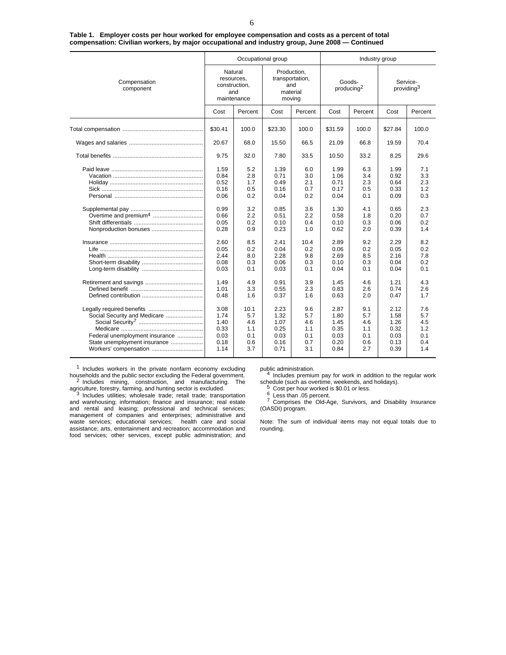|                                                                                                                         |                                                                      | Occupational group                                          |                                                                      |                                                             | Industry group                                                       |                                                             |                                                                      |                                                             |  |
|-------------------------------------------------------------------------------------------------------------------------|----------------------------------------------------------------------|-------------------------------------------------------------|----------------------------------------------------------------------|-------------------------------------------------------------|----------------------------------------------------------------------|-------------------------------------------------------------|----------------------------------------------------------------------|-------------------------------------------------------------|--|
| Compensation<br>component                                                                                               | Natural<br>resources,<br>construction,<br>and<br>maintenance         |                                                             | Production.<br>transportation,<br>material<br>moving                 | and                                                         | Goods-<br>producing <sup>2</sup>                                     |                                                             | Service-<br>providing <sup>3</sup>                                   |                                                             |  |
|                                                                                                                         | Cost                                                                 | Percent                                                     | Cost                                                                 | Percent                                                     | Cost                                                                 | Percent                                                     | Cost                                                                 | Percent                                                     |  |
|                                                                                                                         | \$30.41                                                              | 100.0                                                       | \$23.30                                                              | 100.0                                                       | \$31.59                                                              | 100.0                                                       | \$27.84                                                              | 100.0                                                       |  |
|                                                                                                                         | 20.67                                                                | 68.0                                                        | 15.50                                                                | 66.5                                                        | 21.09                                                                | 66.8                                                        | 19.59                                                                | 70.4                                                        |  |
|                                                                                                                         | 9.75                                                                 | 32.0                                                        | 7.80                                                                 | 33.5                                                        | 10.50                                                                | 33.2                                                        | 8.25                                                                 | 29.6                                                        |  |
| Nonproduction bonuses                                                                                                   | 1.59<br>0.84<br>0.52<br>0.16<br>0.06<br>0.99<br>0.66<br>0.05<br>0.28 | 5.2<br>2.8<br>1.7<br>0.5<br>0.2<br>3.2<br>2.2<br>0.2<br>0.9 | 1.39<br>0.71<br>0.49<br>0.16<br>0.04<br>0.85<br>0.51<br>0.10<br>0.23 | 6.0<br>3.0<br>2.1<br>0.7<br>0.2<br>3.6<br>2.2<br>0.4<br>1.0 | 1.99<br>1.06<br>0.71<br>0.17<br>0.04<br>1.30<br>0.58<br>0.10<br>0.62 | 6.3<br>3.4<br>2.3<br>0.5<br>0.1<br>4.1<br>1.8<br>0.3<br>2.0 | 1.99<br>0.92<br>0.64<br>0.33<br>0.09<br>0.65<br>0.20<br>0.06<br>0.39 | 7.1<br>3.3<br>2.3<br>1.2<br>0.3<br>2.3<br>0.7<br>0.2<br>1.4 |  |
|                                                                                                                         | 2.60<br>0.05<br>2.44<br>0.08<br>0.03                                 | 8.5<br>0.2<br>8.0<br>0.3<br>0.1                             | 2.41<br>0.04<br>2.28<br>0.06<br>0.03                                 | 10.4<br>0.2<br>9.8<br>0.3<br>0.1                            | 2.89<br>0.06<br>2.69<br>0.10<br>0.04                                 | 9.2<br>0.2<br>8.5<br>0.3<br>0.1                             | 2.29<br>0.05<br>2.16<br>0.04<br>0.04                                 | 8.2<br>0.2<br>7.8<br>0.2<br>0.1                             |  |
|                                                                                                                         | 1.49<br>1.01<br>0.48                                                 | 4.9<br>3.3<br>1.6                                           | 0.91<br>0.55<br>0.37                                                 | 3.9<br>2.3<br>1.6                                           | 1.45<br>0.83<br>0.63                                                 | 4.6<br>2.6<br>2.0                                           | 1.21<br>0.74<br>0.47                                                 | 4.3<br>2.6<br>1.7                                           |  |
| Social Security and Medicare<br>Federal unemployment insurance<br>State unemployment insurance<br>Workers' compensation | 3.08<br>1.74<br>1.40<br>0.33<br>0.03<br>0.18<br>1.14                 | 10.1<br>5.7<br>4.6<br>1.1<br>0.1<br>0.6<br>3.7              | 2.23<br>1.32<br>1.07<br>0.25<br>0.03<br>0.16<br>0.71                 | 9.6<br>5.7<br>4.6<br>1.1<br>0.1<br>0.7<br>3.1               | 2.87<br>1.80<br>1.45<br>0.35<br>0.03<br>0.20<br>0.84                 | 9.1<br>5.7<br>4.6<br>1.1<br>0.1<br>0.6<br>2.7               | 2.12<br>1.58<br>1.26<br>0.32<br>0.03<br>0.13<br>0.39                 | 7.6<br>5.7<br>4.5<br>1.2<br>0.1<br>0.4<br>1.4               |  |

**Table 1. Employer costs per hour worked for employee compensation and costs as a percent of total compensation: Civilian workers, by major occupational and industry group, June 2008 — Continued**

<sup>1</sup> Includes workers in the private nonfarm economy excluding households and the public sector excluding the Federal government. <sup>2</sup> Includes mining, construction, and manufacturing. The agriculture, forestry, farming, and hunting sector is excluded.<br><sup>3</sup> Includes utilities; wholesale trade; retail trade; transportation

and warehousing; information; finance and insurance; real estate and rental and leasing; professional and technical services; management of companies and enterprises; administrative and waste services; educational services; health care and social assistance; arts, entertainment and recreation; accommodation and food services; other services, except public administration; and

public administration.<br>4 Includes premium pay for work in addition to the regular work<br>schedule (such as overtime, weekends, and holidays).

<sup>5</sup> Cost per hour worked is \$0.01 or less.<br>
<sup>6</sup> Less than .05 percent.<br>
<sup>7</sup> Comprises the Old-Age, Survivors, and Disability Insurance (OASDI) program.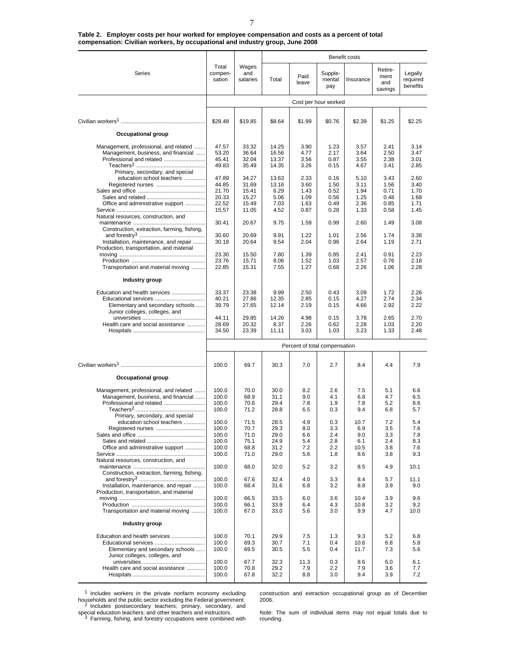|                                                                                   |                            |                          | Benefit costs  |                               |                          |              |                                   |                                 |
|-----------------------------------------------------------------------------------|----------------------------|--------------------------|----------------|-------------------------------|--------------------------|--------------|-----------------------------------|---------------------------------|
| Series                                                                            | Total<br>compen-<br>sation | Wages<br>and<br>salaries | Total          | Paid<br>leave                 | Supple-<br>mental<br>pay | Insurance    | Retire-<br>ment<br>and<br>savings | Legally<br>required<br>benefits |
|                                                                                   |                            |                          |                |                               | Cost per hour worked     |              |                                   |                                 |
|                                                                                   |                            |                          |                |                               |                          |              |                                   |                                 |
|                                                                                   | \$28.48                    | \$19.85                  | \$8.64         | \$1.99                        | \$0.76                   | \$2.39       | \$1.25                            | \$2.25                          |
| <b>Occupational group</b>                                                         |                            |                          |                |                               |                          |              |                                   |                                 |
|                                                                                   |                            |                          |                |                               |                          |              |                                   |                                 |
| Management, professional, and related<br>Management, business, and financial      | 47.57<br>53.20             | 33.32<br>36.64           | 14.25<br>16.56 | 3.90<br>4.77                  | 1.23<br>2.17             | 3.57<br>3.64 | 2.41<br>2.50                      | 3.14<br>3.47                    |
| Professional and related                                                          | 45.41                      | 32.04                    | 13.37          | 3.56                          | 0.87                     | 3.55         | 2.38                              | 3.01                            |
|                                                                                   | 49.83                      | 35.49                    | 14.35          | 3.26                          | 0.15                     | 4.67         | 3.41                              | 2.85                            |
| Primary, secondary, and special                                                   |                            |                          |                |                               |                          |              |                                   |                                 |
| education school teachers                                                         | 47.89                      | 34.27                    | 13.63          | 2.33                          | 0.16                     | 5.10         | 3.43                              | 2.60                            |
|                                                                                   | 44.85<br>21.70             | 31.69<br>15.41           | 13.16<br>6.29  | 3.60<br>1.43                  | 1.50<br>0.52             | 3.11<br>1.94 | 1.56<br>0.71                      | 3.40<br>1.70                    |
|                                                                                   | 20.33                      | 15.27                    | 5.06           | 1.09                          | 0.56                     | 1.25         | 0.48                              | 1.68                            |
| Office and administrative support                                                 | 22.52                      | 15.49                    | 7.03           | 1.63                          | 0.49                     | 2.36         | 0.85                              | 1.71                            |
|                                                                                   | 15.57                      | 11.05                    | 4.52           | 0.87                          | 0.28                     | 1.33         | 0.58                              | 1.45                            |
| Natural resources, construction, and                                              |                            |                          |                |                               |                          |              |                                   |                                 |
|                                                                                   | 30.41                      | 20.67                    | 9.75           | 1.59                          | 0.99                     | 2.60         | 1.49                              | 3.08                            |
| Construction, extraction, farming, fishing,                                       | 30.60                      | 20.69                    | 9.91           | 1.22                          | 1.01                     | 2.56         | 1.74                              | 3.38                            |
| Installation, maintenance, and repair                                             | 30.18                      | 20.64                    | 9.54           | 2.04                          | 0.96                     | 2.64         | 1.19                              | 2.71                            |
| Production, transportation, and material                                          |                            |                          |                |                               |                          |              |                                   |                                 |
|                                                                                   | 23.30                      | 15.50                    | 7.80           | 1.39                          | 0.85                     | 2.41         | 0.91                              | 2.23                            |
|                                                                                   | 23.76                      | 15.71                    | 8.06           | 1.52                          | 1.03                     | 2.57         | 0.76                              | 2.18                            |
| Transportation and material moving                                                | 22.85                      | 15.31                    | 7.55           | 1.27                          | 0.68                     | 2.26         | 1.06                              | 2.28                            |
| Industry group                                                                    |                            |                          |                |                               |                          |              |                                   |                                 |
| Education and health services                                                     | 33.37                      | 23.38                    | 9.99           | 2.50                          | 0.43                     | 3.09         | 1.72                              | 2.26                            |
| Educational services                                                              | 40.21                      | 27.86                    | 12.35          | 2.85                          | 0.15                     | 4.27         | 2.74                              | 2.34                            |
| Elementary and secondary schools                                                  | 39.79                      | 27.65                    | 12.14          | 2.19                          | 0.15                     | 4.66         | 2.92                              | 2.22                            |
| Junior colleges, colleges, and                                                    |                            |                          |                |                               |                          |              |                                   |                                 |
| Health care and social assistance                                                 | 44.11<br>28.69             | 29.85<br>20.32           | 14.26<br>8.37  | 4.98<br>2.26                  | 0.15<br>0.62             | 3.78<br>2.28 | 2.65<br>1.03                      | 2.70<br>2.20                    |
|                                                                                   | 34.50                      | 23.39                    | 11.11          | 3.03                          | 1.03                     | 3.23         | 1.33                              | 2.48                            |
|                                                                                   |                            |                          |                |                               |                          |              |                                   |                                 |
|                                                                                   |                            |                          |                | Percent of total compensation |                          |              |                                   |                                 |
|                                                                                   | 100.0                      | 69.7                     | 30.3           | 7.0                           | 2.7                      | 8.4          | 4.4                               | 7.9                             |
|                                                                                   |                            |                          |                |                               |                          |              |                                   |                                 |
| Occupational group                                                                |                            |                          |                |                               |                          |              |                                   |                                 |
| Management, professional, and related                                             | 100.0                      | 70.0                     | 30.0           | 8.2                           | 2.6                      | 7.5          | 5.1                               | 6.6                             |
| Management, business, and financial                                               | 100.0                      | 68.9                     | 31.1           | 9.0                           | 4.1                      | 6.8          | 4.7                               | 6.5                             |
| Professional and related                                                          | 100.0                      | 70.6                     | 29.4           | 7.8                           | 1.9                      | 7.8          | 5.2                               | 6.6                             |
|                                                                                   | 100.0                      | 71.2                     | 28.8           | 6.5                           | 0.3                      | 9.4          | 6.8                               | 5.7                             |
| Primary, secondary, and special                                                   |                            |                          |                |                               |                          |              |                                   |                                 |
| education school teachers<br>Registered nurses                                    | 100.0<br>100.0             | 71.5<br>70.7             | 28.5<br>29.3   | 4.9<br>8.0                    | 0.3<br>3.3               | 10.7<br>6.9  | 7.2<br>3.5                        | 5.4<br>7.6                      |
|                                                                                   | 100.0                      | 71.0                     | 29.0           | 6.6                           | 2.4                      | 9.0          | 3.3                               | 7.8                             |
|                                                                                   | 100.0                      | 75.1                     | 24.9           | 5.4                           | 2.8                      | 6.1          | 2.4                               | 8.3                             |
| Office and administrative support                                                 | 100.0                      | 68.8                     | 31.2           | 7.2                           | 2.2                      | 10.5         | 3.8                               | 7.6                             |
|                                                                                   | 100.0                      | 71.0                     | 29.0           | 5.6                           | 1.8                      | 8.6          | 3.8                               | 9.3                             |
| Natural resources, construction, and                                              |                            |                          |                |                               |                          |              |                                   |                                 |
| Construction, extraction, farming, fishing,                                       | 100.0                      | 68.0                     | 32.0           | 5.2                           | 3.2                      | 8.5          | 4.9                               | 10.1                            |
|                                                                                   | 100.0                      | 67.6                     | 32.4           | 4.0                           | 3.3                      | 8.4          | 5.7                               | 11.1                            |
| Installation, maintenance, and repair<br>Production, transportation, and material | 100.0                      | 68.4                     | 31.6           | 6.8                           | 3.2                      | 8.8          | 3.9                               | 9.0                             |
|                                                                                   | 100.0                      | 66.5                     | 33.5           | 6.0                           | 3.6                      | 10.4         | 3.9                               | 9.6                             |
|                                                                                   | 100.0                      | 66.1                     | 33.9           | 6.4                           | 4.3                      | 10.8         | 3.2                               | 9.2                             |
| Transportation and material moving                                                | 100.0                      | 67.0                     | 33.0           | 5.6                           | 3.0                      | 9.9          | 4.7                               | 10.0                            |
| <b>Industry group</b>                                                             |                            |                          |                |                               |                          |              |                                   |                                 |
| Education and health services                                                     | 100.0                      | 70.1                     | 29.9           | 7.5                           | 1.3                      | 9.3          | 5.2                               | 6.8                             |
|                                                                                   | 100.0                      | 69.3                     | 30.7           | 7.1                           | 0.4                      | 10.6         | 6.8                               | 5.8                             |
| Elementary and secondary schools                                                  | 100.0                      | 69.5                     | 30.5           | 5.5                           | 0.4                      | 11.7         | 7.3                               | 5.6                             |
| Junior colleges, colleges, and                                                    | 100.0                      | 67.7                     | 32.3           | 11.3                          | 0.3                      | 8.6          | 6.0                               | 6.1                             |
| Health care and social assistance                                                 | 100.0                      | 70.8                     | 29.2           | 7.9                           | 2.2                      | 7.9          | 3.6                               | 7.7                             |
|                                                                                   | 100.0                      | 67.8                     | 32.2           | 8.8                           | 3.0                      | 9.4          | 3.9                               | 7.2                             |
|                                                                                   |                            |                          |                |                               |                          |              |                                   |                                 |

**Table 2. Employer costs per hour worked for employee compensation and costs as a percent of total compensation: Civilian workers, by occupational and industry group, June 2008**

<sup>1</sup> Includes workers in the private nonfarm economy excluding households and the public sector excluding the Federal government.<br><sup>2</sup> Includes postsecondary teachers; primary, secondary, and

special education teachers; and other teachers and instructors.<br><sup>3</sup> Farming, fishing, and forestry occupations were combined with

construction and extraction occupational group as of December 2006.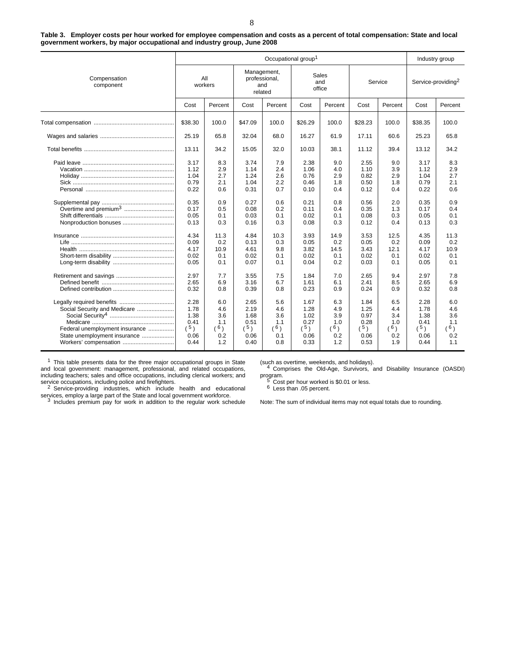**Table 3. Employer costs per hour worked for employee compensation and costs as a percent of total compensation: State and local government workers, by major occupational and industry group, June 2008**

|                                                                                                                         |                                                              |                                                      |                                                              | Occupational group <sup>1</sup>                      |                                                              |                                                      |                                                              |                                                      | Industry group                                               |                                                      |
|-------------------------------------------------------------------------------------------------------------------------|--------------------------------------------------------------|------------------------------------------------------|--------------------------------------------------------------|------------------------------------------------------|--------------------------------------------------------------|------------------------------------------------------|--------------------------------------------------------------|------------------------------------------------------|--------------------------------------------------------------|------------------------------------------------------|
| Compensation<br>component                                                                                               |                                                              | All<br>workers                                       |                                                              | Management,<br>professional,<br>and<br>related       |                                                              | Sales<br>and<br>office                               |                                                              | Service                                              |                                                              | Service-providing <sup>2</sup>                       |
|                                                                                                                         | Cost                                                         | Percent                                              | Cost                                                         | Percent                                              | Cost                                                         | Percent                                              | Cost                                                         | Percent                                              | Cost                                                         | Percent                                              |
|                                                                                                                         | \$38.30                                                      | 100.0                                                | \$47.09                                                      | 100.0                                                | \$26.29                                                      | 100.0                                                | \$28.23                                                      | 100.0                                                | \$38.35                                                      | 100.0                                                |
|                                                                                                                         | 25.19                                                        | 65.8                                                 | 32.04                                                        | 68.0                                                 | 16.27                                                        | 61.9                                                 | 17.11                                                        | 60.6                                                 | 25.23                                                        | 65.8                                                 |
|                                                                                                                         | 13.11                                                        | 34.2                                                 | 15.05                                                        | 32.0                                                 | 10.03                                                        | 38.1                                                 | 11.12                                                        | 39.4                                                 | 13.12                                                        | 34.2                                                 |
|                                                                                                                         | 3.17<br>1.12<br>1.04<br>0.79<br>0.22<br>0.35<br>0.17<br>0.05 | 8.3<br>2.9<br>2.7<br>2.1<br>0.6<br>0.9<br>0.5<br>0.1 | 3.74<br>1.14<br>1.24<br>1.04<br>0.31<br>0.27<br>0.08<br>0.03 | 7.9<br>2.4<br>2.6<br>2.2<br>0.7<br>0.6<br>0.2<br>0.1 | 2.38<br>1.06<br>0.76<br>0.46<br>0.10<br>0.21<br>0.11<br>0.02 | 9.0<br>4.0<br>2.9<br>1.8<br>0.4<br>0.8<br>0.4<br>0.1 | 2.55<br>1.10<br>0.82<br>0.50<br>0.12<br>0.56<br>0.35<br>0.08 | 9.0<br>3.9<br>2.9<br>1.8<br>0.4<br>2.0<br>1.3<br>0.3 | 3.17<br>1.12<br>1.04<br>0.79<br>0.22<br>0.35<br>0.17<br>0.05 | 8.3<br>2.9<br>2.7<br>2.1<br>0.6<br>0.9<br>0.4<br>0.1 |
|                                                                                                                         | 0.13<br>4.34                                                 | 0.3<br>11.3                                          | 0.16<br>4.84                                                 | 0.3<br>10.3                                          | 0.08<br>3.93                                                 | 0.3<br>14.9                                          | 0.12<br>3.53                                                 | 0.4<br>12.5                                          | 0.13<br>4.35                                                 | 0.3<br>11.3                                          |
|                                                                                                                         | 0.09<br>4.17<br>0.02<br>0.05                                 | 0.2<br>10.9<br>0.1<br>0.1                            | 0.13<br>4.61<br>0.02<br>0.07                                 | 0.3<br>9.8<br>0.1<br>0.1                             | 0.05<br>3.82<br>0.02<br>0.04                                 | 0.2<br>14.5<br>0.1<br>0.2                            | 0.05<br>3.43<br>0.02<br>0.03                                 | 0.2<br>12.1<br>0.1<br>0.1                            | 0.09<br>4.17<br>0.02<br>0.05                                 | 0.2<br>10.9<br>0.1<br>0.1                            |
|                                                                                                                         | 2.97<br>2.65<br>0.32                                         | 7.7<br>6.9<br>0.8                                    | 3.55<br>3.16<br>0.39                                         | 7.5<br>6.7<br>0.8                                    | 1.84<br>1.61<br>0.23                                         | 7.0<br>6.1<br>0.9                                    | 2.65<br>2.41<br>0.24                                         | 9.4<br>8.5<br>0.9                                    | 2.97<br>2.65<br>0.32                                         | 7.8<br>6.9<br>0.8                                    |
| Social Security and Medicare<br>Federal unemployment insurance<br>State unemployment insurance<br>Workers' compensation | 2.28<br>1.78<br>1.38<br>0.41<br>(5)<br>0.06<br>0.44          | 6.0<br>4.6<br>3.6<br>1.1<br>(6)<br>0.2<br>1.2        | 2.65<br>2.19<br>1.68<br>0.51<br>(5)<br>0.06<br>0.40          | 5.6<br>4.6<br>3.6<br>1.1<br>(6)<br>0.1<br>0.8        | 1.67<br>1.28<br>1.02<br>0.27<br>(5)<br>0.06<br>0.33          | 6.3<br>4.9<br>3.9<br>1.0<br>$(^{6})$<br>0.2<br>1.2   | 1.84<br>1.25<br>0.97<br>0.28<br>(5)<br>0.06<br>0.53          | 6.5<br>4.4<br>3.4<br>1.0<br>(6)<br>0.2<br>1.9        | 2.28<br>1.78<br>1.38<br>0.41<br>(5)<br>0.06<br>0.44          | 6.0<br>4.6<br>3.6<br>1.1<br>(6)<br>0.2<br>1.1        |

<sup>1</sup> This table presents data for the three major occupational groups in State and local government: management, professional, and related occupations, including teachers; sales and office occupations, including clerical workers; and

service occupations, including police and firefighters.<br><sup>2</sup> Service-providing industries, which include health and educational

services, employ a large part of the State and local government workforce.<br><sup>3</sup> Includes premium pay for work in addition to the regular work schedule

(such as overtime, weekends, and holidays). <sup>4</sup> Comprises the Old-Age, Survivors, and Disability Insurance (OASDI) program.<br>
<sup>5</sup> Cost per hour worked is \$0.01 or less.<br>
<sup>6</sup> Less than .05 percent.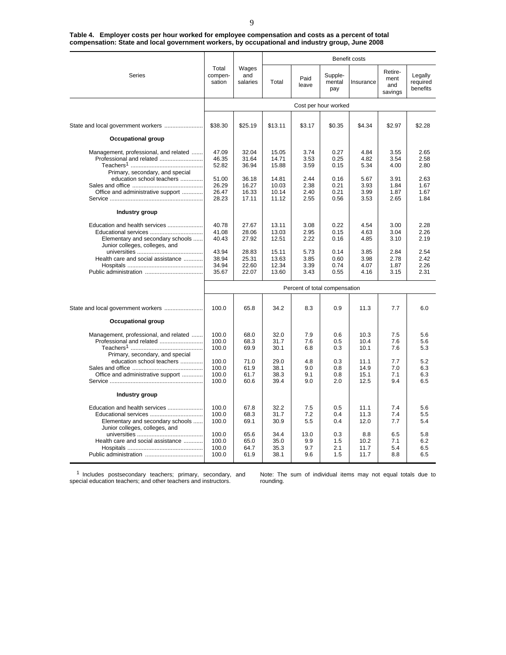|                                                                                                                                                                |                                  |                                  |                                  | Benefit costs                 |                              |                              |                                   |                                 |
|----------------------------------------------------------------------------------------------------------------------------------------------------------------|----------------------------------|----------------------------------|----------------------------------|-------------------------------|------------------------------|------------------------------|-----------------------------------|---------------------------------|
| Series                                                                                                                                                         | Total<br>compen-<br>sation       | Wages<br>and<br>salaries         | Total                            | Paid<br>leave                 | Supple-<br>mental<br>pay     | Insurance                    | Retire-<br>ment<br>and<br>savings | Legally<br>required<br>benefits |
|                                                                                                                                                                |                                  |                                  |                                  |                               | Cost per hour worked         |                              |                                   |                                 |
|                                                                                                                                                                |                                  |                                  |                                  |                               |                              |                              |                                   |                                 |
| State and local government workers                                                                                                                             | \$38.30                          | \$25.19                          | \$13.11                          | \$3.17                        | \$0.35                       | \$4.34                       | \$2.97                            | \$2.28                          |
| <b>Occupational group</b>                                                                                                                                      |                                  |                                  |                                  |                               |                              |                              |                                   |                                 |
| Management, professional, and related<br>Professional and related<br>Primary, secondary, and special<br>education school teachers                              | 47.09<br>46.35<br>52.82<br>51.00 | 32.04<br>31.64<br>36.94<br>36.18 | 15.05<br>14.71<br>15.88<br>14.81 | 3.74<br>3.53<br>3.59<br>2.44  | 0.27<br>0.25<br>0.15<br>0.16 | 4.84<br>4.82<br>5.34<br>5.67 | 3.55<br>3.54<br>4.00<br>3.91      | 2.65<br>2.58<br>2.80<br>2.63    |
| Office and administrative support                                                                                                                              | 26.29<br>26.47<br>28.23          | 16.27<br>16.33<br>17.11          | 10.03<br>10.14<br>11.12          | 2.38<br>2.40<br>2.55          | 0.21<br>0.21<br>0.56         | 3.93<br>3.99<br>3.53         | 1.84<br>1.87<br>2.65              | 1.67<br>1.67<br>1.84            |
| Industry group                                                                                                                                                 |                                  |                                  |                                  |                               |                              |                              |                                   |                                 |
| Education and health services<br>Educational services<br>Elementary and secondary schools<br>Junior colleges, colleges, and                                    | 40.78<br>41.08<br>40.43          | 27.67<br>28.06<br>27.92          | 13.11<br>13.03<br>12.51          | 3.08<br>2.95<br>2.22          | 0.22<br>0.15<br>0.16         | 4.54<br>4.63<br>4.85         | 3.00<br>3.04<br>3.10              | 2.28<br>2.26<br>2.19            |
| Health care and social assistance                                                                                                                              | 43.94<br>38.94<br>34.94<br>35.67 | 28.83<br>25.31<br>22.60<br>22.07 | 15.11<br>13.63<br>12.34<br>13.60 | 5.73<br>3.85<br>3.39<br>3.43  | 0.14<br>0.60<br>0.74<br>0.55 | 3.85<br>3.98<br>4.07<br>4.16 | 2.84<br>2.78<br>1.87<br>3.15      | 2.54<br>2.42<br>2.26<br>2.31    |
|                                                                                                                                                                |                                  |                                  |                                  | Percent of total compensation |                              |                              |                                   |                                 |
|                                                                                                                                                                | 100.0                            | 65.8                             | 34.2                             | 8.3                           | 0.9                          | 11.3                         | 7.7                               | 6.0                             |
| <b>Occupational group</b><br>Management, professional, and related<br>Professional and related<br>Primary, secondary, and special<br>education school teachers | 100.0<br>100.0<br>100.0<br>100.0 | 68.0<br>68.3<br>69.9<br>71.0     | 32.0<br>31.7<br>30.1<br>29.0     | 7.9<br>7.6<br>6.8<br>4.8      | 0.6<br>0.5<br>0.3<br>0.3     | 10.3<br>10.4<br>10.1<br>11.1 | 7.5<br>7.6<br>7.6<br>7.7          | 5.6<br>5.6<br>5.3<br>5.2        |
| Office and administrative support<br>Industry group                                                                                                            | 100.0<br>100.0<br>100.0          | 61.9<br>61.7<br>60.6             | 38.1<br>38.3<br>39.4             | 9.0<br>9.1<br>9.0             | 0.8<br>0.8<br>2.0            | 14.9<br>15.1<br>12.5         | 7.0<br>7.1<br>9.4                 | 6.3<br>6.3<br>6.5               |
| Education and health services<br>Educational services<br>Elementary and secondary schools<br>Junior colleges, colleges, and                                    | 100.0<br>100.0<br>100.0          | 67.8<br>68.3<br>69.1             | 32.2<br>31.7<br>30.9             | 7.5<br>7.2<br>5.5             | 0.5<br>0.4<br>0.4            | 11.1<br>11.3<br>12.0         | 7.4<br>7.4<br>7.7                 | 5.6<br>5.5<br>5.4               |
| Health care and social assistance                                                                                                                              | 100.0<br>100.0<br>100.0<br>100.0 | 65.6<br>65.0<br>64.7<br>61.9     | 34.4<br>35.0<br>35.3<br>38.1     | 13.0<br>9.9<br>9.7<br>9.6     | 0.3<br>1.5<br>2.1<br>1.5     | 8.8<br>10.2<br>11.7<br>11.7  | 6.5<br>7.1<br>5.4<br>8.8          | 5.8<br>6.2<br>6.5<br>6.5        |

**Table 4. Employer costs per hour worked for employee compensation and costs as a percent of total compensation: State and local government workers, by occupational and industry group, June 2008**

<sup>1</sup> Includes postsecondary teachers; primary, secondary, and special education teachers; and other teachers and instructors.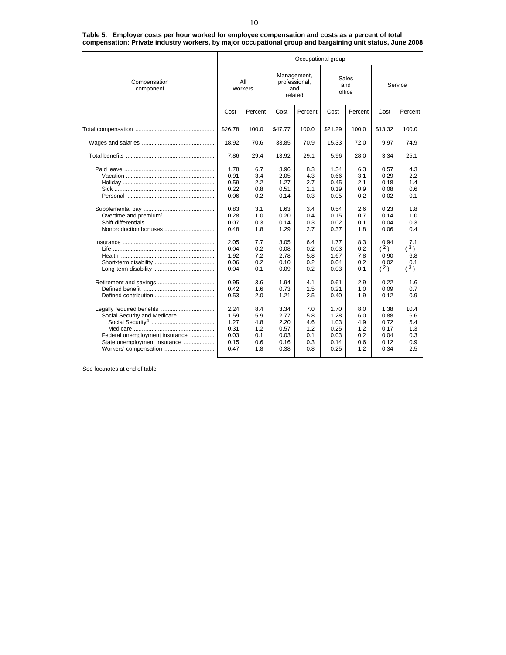|                                                                                                                         | Occupational group                                   |                                               |                                                      |                                                |                                                      |                                               |                                                      |                                                |  |  |  |
|-------------------------------------------------------------------------------------------------------------------------|------------------------------------------------------|-----------------------------------------------|------------------------------------------------------|------------------------------------------------|------------------------------------------------------|-----------------------------------------------|------------------------------------------------------|------------------------------------------------|--|--|--|
| Compensation<br>component                                                                                               | All<br>workers                                       |                                               |                                                      | Management,<br>professional,<br>and<br>related |                                                      | Sales<br>and<br>office                        | Service                                              |                                                |  |  |  |
|                                                                                                                         | Cost                                                 | Percent                                       | Cost                                                 | Percent                                        | Cost                                                 | Percent                                       | Cost                                                 | Percent                                        |  |  |  |
|                                                                                                                         | \$26.78                                              | 100.0                                         | \$47.77                                              | 100.0                                          | \$21.29                                              | 100.0                                         | \$13.32                                              | 100.0                                          |  |  |  |
|                                                                                                                         | 18.92                                                | 70.6                                          | 33.85                                                | 70.9                                           | 15.33                                                | 72.0                                          | 9.97                                                 | 74.9                                           |  |  |  |
|                                                                                                                         | 7.86                                                 | 29.4                                          | 13.92                                                | 29.1                                           | 5.96                                                 | 28.0                                          | 3.34                                                 | 25.1                                           |  |  |  |
|                                                                                                                         | 1.78<br>0.91<br>0.59<br>0.22<br>0.06<br>0.83<br>0.28 | 6.7<br>3.4<br>2.2<br>0.8<br>0.2<br>3.1<br>1.0 | 3.96<br>2.05<br>1.27<br>0.51<br>0.14<br>1.63<br>0.20 | 8.3<br>4.3<br>2.7<br>1.1<br>0.3<br>3.4<br>0.4  | 1.34<br>0.66<br>0.45<br>0.19<br>0.05<br>0.54<br>0.15 | 6.3<br>3.1<br>2.1<br>0.9<br>0.2<br>2.6<br>0.7 | 0.57<br>0.29<br>0.18<br>0.08<br>0.02<br>0.23<br>0.14 | 4.3<br>2.2<br>1.4<br>0.6<br>0.1<br>1.8<br>1.0  |  |  |  |
| Nonproduction bonuses                                                                                                   | 0.07<br>0.48                                         | 0.3<br>1.8                                    | 0.14<br>1.29                                         | 0.3<br>2.7                                     | 0.02<br>0.37                                         | 0.1<br>1.8                                    | 0.04<br>0.06                                         | 0.3<br>0.4                                     |  |  |  |
|                                                                                                                         | 2.05<br>0.04<br>1.92<br>0.06<br>0.04                 | 7.7<br>0.2<br>7.2<br>0.2<br>0.1               | 3.05<br>0.08<br>2.78<br>0.10<br>0.09                 | 6.4<br>0.2<br>5.8<br>0.2<br>0.2                | 1.77<br>0.03<br>1.67<br>0.04<br>0.03                 | 8.3<br>0.2<br>7.8<br>0.2<br>0.1               | 0.94<br>(2)<br>0.90<br>0.02<br>(2)                   | 7.1<br>(3)<br>6.8<br>0.1<br>(3)                |  |  |  |
|                                                                                                                         | 0.95<br>0.42<br>0.53                                 | 3.6<br>1.6<br>2.0                             | 1.94<br>0.73<br>1.21                                 | 4.1<br>1.5<br>2.5                              | 0.61<br>0.21<br>0.40                                 | 2.9<br>1.0<br>1.9                             | 0.22<br>0.09<br>0.12                                 | 1.6<br>0.7<br>0.9                              |  |  |  |
| Social Security and Medicare<br>Federal unemployment insurance<br>State unemployment insurance<br>Workers' compensation | 2.24<br>1.59<br>1.27<br>0.31<br>0.03<br>0.15<br>0.47 | 8.4<br>5.9<br>4.8<br>1.2<br>0.1<br>0.6<br>1.8 | 3.34<br>2.77<br>2.20<br>0.57<br>0.03<br>0.16<br>0.38 | 7.0<br>5.8<br>4.6<br>1.2<br>0.1<br>0.3<br>0.8  | 1.70<br>1.28<br>1.03<br>0.25<br>0.03<br>0.14<br>0.25 | 8.0<br>6.0<br>4.9<br>1.2<br>0.2<br>0.6<br>1.2 | 1.38<br>0.88<br>0.72<br>0.17<br>0.04<br>0.12<br>0.34 | 10.4<br>6.6<br>5.4<br>1.3<br>0.3<br>0.9<br>2.5 |  |  |  |

**Table 5. Employer costs per hour worked for employee compensation and costs as a percent of total compensation: Private industry workers, by major occupational group and bargaining unit status, June 2008**

See footnotes at end of table.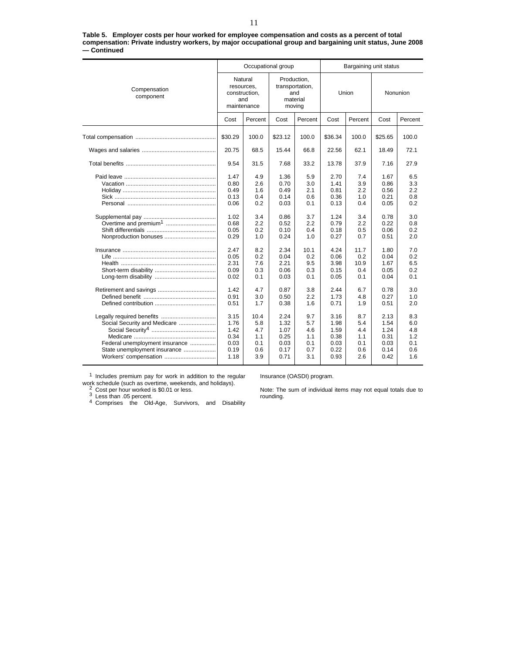|             | Table 5. Employer costs per hour worked for employee compensation and costs as a percent of total         |
|-------------|-----------------------------------------------------------------------------------------------------------|
|             | compensation: Private industry workers, by major occupational group and bargaining unit status, June 2008 |
| — Continued |                                                                                                           |

|                                                                                                                         |                                                              | Occupational group                             |                                                      |                                               | Bargaining unit status                               |                                               |                                                      |                                               |  |
|-------------------------------------------------------------------------------------------------------------------------|--------------------------------------------------------------|------------------------------------------------|------------------------------------------------------|-----------------------------------------------|------------------------------------------------------|-----------------------------------------------|------------------------------------------------------|-----------------------------------------------|--|
| Compensation<br>component                                                                                               | Natural<br>resources,<br>construction,<br>and<br>maintenance |                                                | transportation,<br>moving                            | Production,<br>and<br>material                |                                                      | Union                                         | Nonunion                                             |                                               |  |
|                                                                                                                         | Cost                                                         | Percent                                        | Cost                                                 | Percent                                       | Cost                                                 | Percent                                       | Cost                                                 | Percent                                       |  |
|                                                                                                                         | \$30.29                                                      | 100.0                                          | \$23.12                                              | 100.0                                         | \$36.34                                              | 100.0                                         | \$25.65                                              | 100.0                                         |  |
|                                                                                                                         | 20.75                                                        | 68.5                                           | 15.44                                                | 66.8                                          | 22.56                                                | 62.1                                          | 18.49                                                | 72.1                                          |  |
|                                                                                                                         | 9.54                                                         | 31.5                                           | 7.68                                                 | 33.2                                          | 13.78                                                | 37.9                                          | 7.16                                                 | 27.9                                          |  |
|                                                                                                                         | 1.47<br>0.80<br>0.49<br>0.13<br>0.06                         | 4.9<br>2.6<br>1.6<br>0.4<br>0.2                | 1.36<br>0.70<br>0.49<br>0.14<br>0.03                 | 5.9<br>3.0<br>2.1<br>0.6<br>0.1               | 2.70<br>1.41<br>0.81<br>0.36<br>0.13                 | 7.4<br>3.9<br>2.2<br>1.0<br>0.4               | 1.67<br>0.86<br>0.56<br>0.21<br>0.05                 | 6.5<br>3.3<br>2.2<br>0.8<br>0.2               |  |
| Overtime and premium <sup>1</sup><br>Nonproduction bonuses                                                              | 1.02<br>0.68<br>0.05<br>0.29                                 | 3.4<br>2.2<br>0.2<br>1.0                       | 0.86<br>0.52<br>0.10<br>0.24                         | 3.7<br>2.2<br>0.4<br>1.0                      | 1.24<br>0.79<br>0.18<br>0.27                         | 3.4<br>2.2<br>0.5<br>0.7                      | 0.78<br>0.22<br>0.06<br>0.51                         | 3.0<br>0.8<br>0.2<br>2.0                      |  |
|                                                                                                                         | 2.47<br>0.05<br>2.31<br>0.09<br>0.02                         | 8.2<br>0.2<br>7.6<br>0.3<br>0.1                | 2.34<br>0.04<br>2.21<br>0.06<br>0.03                 | 10.1<br>0.2<br>9.5<br>0.3<br>0.1              | 4.24<br>0.06<br>3.98<br>0.15<br>0.05                 | 11.7<br>0.2<br>10.9<br>0.4<br>0.1             | 1.80<br>0.04<br>1.67<br>0.05<br>0.04                 | 7.0<br>0.2<br>6.5<br>0.2<br>0.1               |  |
|                                                                                                                         | 1.42<br>0.91<br>0.51                                         | 4.7<br>3.0<br>1.7                              | 0.87<br>0.50<br>0.38                                 | 3.8<br>2.2<br>1.6                             | 2.44<br>1.73<br>0.71                                 | 6.7<br>4.8<br>1.9                             | 0.78<br>0.27<br>0.51                                 | 3.0<br>1.0<br>2.0                             |  |
| Social Security and Medicare<br>Federal unemployment insurance<br>State unemployment insurance<br>Workers' compensation | 3.15<br>1.76<br>1.42<br>0.34<br>0.03<br>0.19<br>1.18         | 10.4<br>5.8<br>4.7<br>1.1<br>0.1<br>0.6<br>3.9 | 2.24<br>1.32<br>1.07<br>0.25<br>0.03<br>0.17<br>0.71 | 9.7<br>5.7<br>4.6<br>1.1<br>0.1<br>0.7<br>3.1 | 3.16<br>1.98<br>1.59<br>0.38<br>0.03<br>0.22<br>0.93 | 8.7<br>5.4<br>4.4<br>1.1<br>0.1<br>0.6<br>2.6 | 2.13<br>1.54<br>1.24<br>0.31<br>0.03<br>0.14<br>0.42 | 8.3<br>6.0<br>4.8<br>1.2<br>0.1<br>0.6<br>1.6 |  |

 $1$  Includes premium pay for work in addition to the regular work schedule (such as overtime, weekends, and holidays).<br>
<sup>2</sup> Cost per hour worked is \$0.01 or less.<br>
<sup>3</sup> Less than .05 percent.<br>
<sup>4</sup> Comprises the Old-Age, Survivors, and Disability

Insurance (OASDI) program.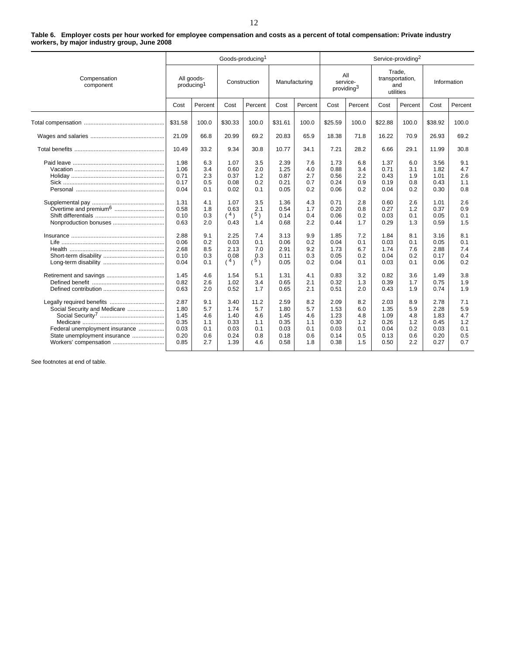#### **Table 6. Employer costs per hour worked for employee compensation and costs as a percent of total compensation: Private industry workers, by major industry group, June 2008**

|                                                                                                                         | Goods-producing <sup>1</sup>                         |                                               |                                                      |                                                |                                                      |                                               |                                                      | Service-providing <sup>2</sup>                |                                                      |                                               |                                                      |                                               |  |
|-------------------------------------------------------------------------------------------------------------------------|------------------------------------------------------|-----------------------------------------------|------------------------------------------------------|------------------------------------------------|------------------------------------------------------|-----------------------------------------------|------------------------------------------------------|-----------------------------------------------|------------------------------------------------------|-----------------------------------------------|------------------------------------------------------|-----------------------------------------------|--|
| Compensation<br>component                                                                                               | All goods-<br>producing <sup>1</sup>                 |                                               | Construction                                         |                                                | Manufacturing                                        |                                               | All<br>service-<br>providing <sup>3</sup>            |                                               | Trade,<br>transportation,<br>and<br>utilities        |                                               | Information                                          |                                               |  |
|                                                                                                                         | Cost                                                 | Percent                                       | Cost                                                 | Percent                                        | Cost                                                 | Percent                                       | Cost                                                 | Percent                                       | Cost                                                 | Percent                                       | Cost                                                 | Percent                                       |  |
|                                                                                                                         | \$31.58                                              | 100.0                                         | \$30.33                                              | 100.0                                          | \$31.61                                              | 100.0                                         | \$25.59                                              | 100.0                                         | \$22.88                                              | 100.0                                         | \$38.92                                              | 100.0                                         |  |
|                                                                                                                         | 21.09                                                | 66.8                                          | 20.99                                                | 69.2                                           | 20.83                                                | 65.9                                          | 18.38                                                | 71.8                                          | 16.22                                                | 70.9                                          | 26.93                                                | 69.2                                          |  |
|                                                                                                                         | 10.49                                                | 33.2                                          | 9.34                                                 | 30.8                                           | 10.77                                                | 34.1                                          | 7.21                                                 | 28.2                                          | 6.66                                                 | 29.1                                          | 11.99                                                | 30.8                                          |  |
|                                                                                                                         | 1.98<br>1.06<br>0.71<br>0.17<br>0.04                 | 6.3<br>3.4<br>2.3<br>0.5<br>0.1               | 1.07<br>0.60<br>0.37<br>0.08<br>0.02                 | 3.5<br>2.0<br>1.2<br>0.2<br>0.1                | 2.39<br>1.25<br>0.87<br>0.21<br>0.05                 | 7.6<br>4.0<br>2.7<br>0.7<br>0.2               | 1.73<br>0.88<br>0.56<br>0.24<br>0.06                 | 6.8<br>3.4<br>2.2<br>0.9<br>0.2               | 1.37<br>0.71<br>0.43<br>0.19<br>0.04                 | 6.0<br>3.1<br>1.9<br>0.8<br>0.2               | 3.56<br>1.82<br>1.01<br>0.43<br>0.30                 | 9.1<br>4.7<br>2.6<br>1.1<br>0.8               |  |
| Nonproduction bonuses                                                                                                   | 1.31<br>0.58<br>0.10<br>0.63                         | 4.1<br>1.8<br>0.3<br>2.0                      | 1.07<br>0.63<br>(4)<br>0.43                          | 3.5<br>2.1<br>$(^{5})$<br>1.4                  | 1.36<br>0.54<br>0.14<br>0.68                         | 4.3<br>1.7<br>0.4<br>2.2                      | 0.71<br>0.20<br>0.06<br>0.44                         | 2.8<br>0.8<br>0.2<br>1.7                      | 0.60<br>0.27<br>0.03<br>0.29                         | 2.6<br>1.2<br>0.1<br>1.3                      | 1.01<br>0.37<br>0.05<br>0.59                         | 2.6<br>0.9<br>0.1<br>1.5                      |  |
|                                                                                                                         | 2.88<br>0.06<br>2.68<br>0.10<br>0.04                 | 9.1<br>0.2<br>8.5<br>0.3<br>0.1               | 2.25<br>0.03<br>2.13<br>0.08<br>(4)                  | 7.4<br>0.1<br>7.0<br>0.3<br>(5)                | 3.13<br>0.06<br>2.91<br>0.11<br>0.05                 | 9.9<br>0.2<br>9.2<br>0.3<br>0.2               | 1.85<br>0.04<br>1.73<br>0.05<br>0.04                 | 7.2<br>0.1<br>6.7<br>0.2<br>0.1               | 1.84<br>0.03<br>1.74<br>0.04<br>0.03                 | 8.1<br>0.1<br>7.6<br>0.2<br>0.1               | 3.16<br>0.05<br>2.88<br>0.17<br>0.06                 | 8.1<br>0.1<br>7.4<br>0.4<br>0.2               |  |
|                                                                                                                         | 1.45<br>0.82<br>0.63                                 | 4.6<br>2.6<br>2.0                             | 1.54<br>1.02<br>0.52                                 | 5.1<br>3.4<br>1.7                              | 1.31<br>0.65<br>0.65                                 | 4.1<br>2.1<br>2.1                             | 0.83<br>0.32<br>0.51                                 | 3.2<br>1.3<br>2.0                             | 0.82<br>0.39<br>0.43                                 | 3.6<br>1.7<br>1.9                             | 1.49<br>0.75<br>0.74                                 | 3.8<br>1.9<br>1.9                             |  |
| Social Security and Medicare<br>Federal unemployment insurance<br>State unemployment insurance<br>Workers' compensation | 2.87<br>1.80<br>1.45<br>0.35<br>0.03<br>0.20<br>0.85 | 9.1<br>5.7<br>4.6<br>1.1<br>0.1<br>0.6<br>2.7 | 3.40<br>1.74<br>1.40<br>0.33<br>0.03<br>0.24<br>1.39 | 11.2<br>5.7<br>4.6<br>1.1<br>0.1<br>0.8<br>4.6 | 2.59<br>1.80<br>1.45<br>0.35<br>0.03<br>0.18<br>0.58 | 8.2<br>5.7<br>4.6<br>1.1<br>0.1<br>0.6<br>1.8 | 2.09<br>1.53<br>1.23<br>0.30<br>0.03<br>0.14<br>0.38 | 8.2<br>6.0<br>4.8<br>1.2<br>0.1<br>0.5<br>1.5 | 2.03<br>1.35<br>1.09<br>0.26<br>0.04<br>0.13<br>0.50 | 8.9<br>5.9<br>4.8<br>1.2<br>0.2<br>0.6<br>2.2 | 2.78<br>2.28<br>1.83<br>0.45<br>0.03<br>0.20<br>0.27 | 7.1<br>5.9<br>4.7<br>1.2<br>0.1<br>0.5<br>0.7 |  |

See footnotes at end of table.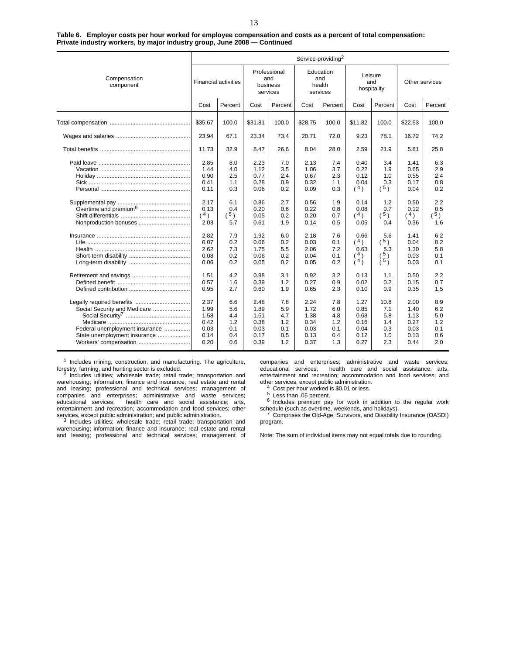|  | Table 6. Employer costs per hour worked for employee compensation and costs as a percent of total compensation: |  |  |
|--|-----------------------------------------------------------------------------------------------------------------|--|--|
|  | Private industry workers, by major industry group, June 2008 – Continued                                        |  |  |

|                                                                                                                         |                                                                                     |                                                                           |                                                                                      |                                                                           |                                                                                      | Service-providing <sup>2</sup>                                            |                                                                                   |                                                                                 |                                                                                     |                                                                           |
|-------------------------------------------------------------------------------------------------------------------------|-------------------------------------------------------------------------------------|---------------------------------------------------------------------------|--------------------------------------------------------------------------------------|---------------------------------------------------------------------------|--------------------------------------------------------------------------------------|---------------------------------------------------------------------------|-----------------------------------------------------------------------------------|---------------------------------------------------------------------------------|-------------------------------------------------------------------------------------|---------------------------------------------------------------------------|
| Compensation<br>component                                                                                               |                                                                                     | <b>Financial activities</b>                                               | Professional<br>and<br>business<br>services                                          |                                                                           | Education<br>and<br>health<br>services                                               |                                                                           | Leisure<br>and<br>hospitality                                                     |                                                                                 | Other services                                                                      |                                                                           |
|                                                                                                                         | Cost                                                                                | Percent                                                                   | Cost                                                                                 | Percent                                                                   | Cost                                                                                 | Percent                                                                   | Cost                                                                              | Percent                                                                         | Cost                                                                                | Percent                                                                   |
|                                                                                                                         | \$35.67                                                                             | 100.0                                                                     | \$31.81                                                                              | 100.0                                                                     | \$28.75                                                                              | 100.0                                                                     | \$11.82                                                                           | 100.0                                                                           | \$22.53                                                                             | 100.0                                                                     |
|                                                                                                                         | 23.94                                                                               | 67.1                                                                      | 23.34                                                                                | 73.4                                                                      | 20.71                                                                                | 72.0                                                                      | 9.23                                                                              | 78.1                                                                            | 16.72                                                                               | 74.2                                                                      |
|                                                                                                                         | 11.73                                                                               | 32.9                                                                      | 8.47                                                                                 | 26.6                                                                      | 8.04                                                                                 | 28.0                                                                      | 2.59                                                                              | 21.9                                                                            | 5.81                                                                                | 25.8                                                                      |
|                                                                                                                         | 2.85<br>1.44<br>0.90<br>0.41<br>0.11<br>2.17<br>0.13<br>(4)<br>2.03<br>2.82<br>0.07 | 8.0<br>4.0<br>2.5<br>1.1<br>0.3<br>6.1<br>0.4<br>(5)<br>5.7<br>7.9<br>0.2 | 2.23<br>1.12<br>0.77<br>0.28<br>0.06<br>0.86<br>0.20<br>0.05<br>0.61<br>1.92<br>0.06 | 7.0<br>3.5<br>2.4<br>0.9<br>0.2<br>2.7<br>0.6<br>0.2<br>1.9<br>6.0<br>0.2 | 2.13<br>1.06<br>0.67<br>0.32<br>0.09<br>0.56<br>0.22<br>0.20<br>0.14<br>2.18<br>0.03 | 7.4<br>3.7<br>2.3<br>1.1<br>0.3<br>1.9<br>0.8<br>0.7<br>0.5<br>7.6<br>0.1 | 0.40<br>0.22<br>0.12<br>0.04<br>(4)<br>0.14<br>0.08<br>(4)<br>0.05<br>0.66<br>(4) | 3.4<br>1.9<br>1.0<br>0.3<br>ີ 5)<br>1.2<br>0.7<br>$(^{5})$<br>0.4<br>5.6<br>(5) | 1.41<br>0.65<br>0.55<br>0.17<br>0.04<br>0.50<br>0.12<br>(4)<br>0.36<br>1.41<br>0.04 | 6.3<br>2.9<br>2.4<br>0.8<br>0.2<br>2.2<br>0.5<br>(5)<br>1.6<br>6.2<br>0.2 |
|                                                                                                                         | 2.62<br>0.08<br>0.06                                                                | 7.3<br>0.2<br>0.2                                                         | 1.75<br>0.06<br>0.05                                                                 | 5.5<br>0.2<br>0.2                                                         | 2.06<br>0.04<br>0.05                                                                 | 7.2<br>0.1<br>0.2                                                         | 0.63<br>$^{\prime}$ 4)<br>(4)                                                     | 5.3<br>$^5)$<br>(5)                                                             | 1.30<br>0.03<br>0.03                                                                | 5.8<br>0.1<br>0.1                                                         |
|                                                                                                                         | 1.51<br>0.57<br>0.95                                                                | 4.2<br>1.6<br>2.7                                                         | 0.98<br>0.39<br>0.60                                                                 | 3.1<br>1.2<br>1.9                                                         | 0.92<br>0.27<br>0.65                                                                 | 3.2<br>0.9<br>2.3                                                         | 0.13<br>0.02<br>0.10                                                              | 1.1<br>0.2<br>0.9                                                               | 0.50<br>0.15<br>0.35                                                                | 2.2<br>0.7<br>1.5                                                         |
| Social Security and Medicare<br>Federal unemployment insurance<br>State unemployment insurance<br>Workers' compensation | 2.37<br>1.99<br>1.58<br>0.42<br>0.03<br>0.14<br>0.20                                | 6.6<br>5.6<br>4.4<br>1.2<br>0.1<br>0.4<br>0.6                             | 2.48<br>1.89<br>1.51<br>0.38<br>0.03<br>0.17<br>0.39                                 | 7.8<br>5.9<br>4.7<br>1.2<br>0.1<br>0.5<br>1.2                             | 2.24<br>1.72<br>1.38<br>0.34<br>0.03<br>0.13<br>0.37                                 | 7.8<br>6.0<br>4.8<br>1.2<br>0.1<br>0.4<br>1.3                             | 1.27<br>0.85<br>0.68<br>0.16<br>0.04<br>0.12<br>0.27                              | 10.8<br>7.1<br>5.8<br>1.4<br>0.3<br>1.0<br>2.3                                  | 2.00<br>1.40<br>1.13<br>0.27<br>0.03<br>0.13<br>0.44                                | 8.9<br>6.2<br>5.0<br>1.2<br>0.1<br>0.6<br>2.0                             |

 $1$  Includes mining, construction, and manufacturing. The agriculture, forestry, farming, and hunting sector is excluded.

Includes utilities; wholesale trade; retail trade; transportation and warehousing; information; finance and insurance; real estate and rental and leasing; professional and technical services; management of companies and enterprises; administrative and waste services;<br>educational services; health care and social assistance; arts, health care and social assistance; arts, entertainment and recreation; accommodation and food services; other services, except public administration; and public administration.<br>3 Includes utilities; wholesale trade; retail trade; transportation and

warehousing; information; finance and insurance; real estate and rental and leasing; professional and technical services; management of companies and enterprises; administrative and waste services; educational services; health care and social assistance; arts, entertainment and recreation; accommodation and food services; and

4 Cost per hour worked is \$0.01 or less.<br>  $5$  Less than .05 percent.<br>  $6$  Includes premium pay for work in addition to the regular work schedule (such as overtime, weekends, and holidays). <sup>7</sup> Comprises the Old-Age, Survivors, and Disability Insurance (OASDI)

program.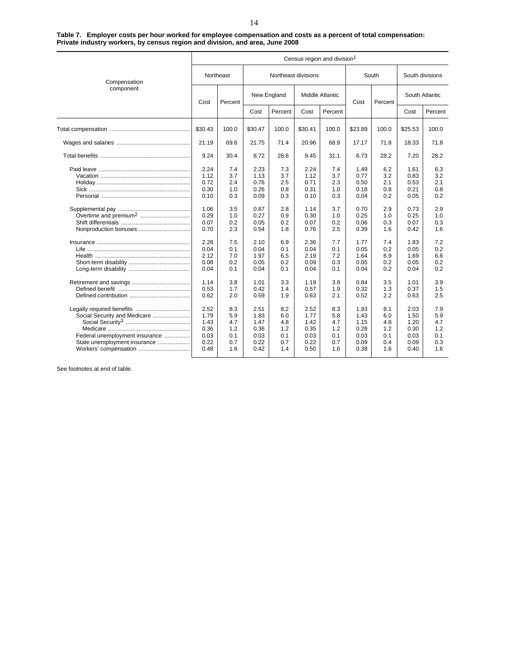| Table 7. Employer costs per hour worked for employee compensation and costs as a percent of total compensation: |  |  |  |
|-----------------------------------------------------------------------------------------------------------------|--|--|--|
| Private industry workers, by census region and division, and area, June 2008                                    |  |  |  |

|                                   |         |           |         |                     |         | Census region and division <sup>1</sup> |                 |       |                 |         |
|-----------------------------------|---------|-----------|---------|---------------------|---------|-----------------------------------------|-----------------|-------|-----------------|---------|
| Compensation                      |         | Northeast |         | Northeast divisions |         |                                         | South           |       | South divisions |         |
| component                         | Cost    | Percent   |         | New England         |         | <b>Middle Atlantic</b>                  | Cost<br>Percent |       | South Atlantic  |         |
|                                   |         |           | Cost    | Percent             | Cost    | Percent                                 |                 |       | Cost            | Percent |
|                                   | \$30.43 | 100.0     | \$30.47 | 100.0               | \$30.41 | 100.0                                   | \$23.89         | 100.0 | \$25.53         | 100.0   |
|                                   | 21.19   | 69.6      | 21.75   | 71.4                | 20.96   | 68.9                                    | 17.17           | 71.8  | 18.33           | 71.8    |
|                                   | 9.24    | 30.4      | 8.72    | 28.6                | 9.45    | 31.1                                    | 6.73            | 28.2  | 7.20            | 28.2    |
|                                   | 2.24    | 7.4       | 2.23    | 7.3                 | 2.24    | 7.4                                     | 1.49            | 6.2   | 1.61            | 6.3     |
|                                   | 1.12    | 3.7       | 1.13    | 3.7                 | 1.12    | 3.7                                     | 0.77            | 3.2   | 0.83            | 3.2     |
|                                   | 0.72    | 2.4       | 0.76    | 2.5                 | 0.71    | 2.3                                     | 0.50            | 2.1   | 0.53            | 2.1     |
|                                   | 0.30    | 1.0       | 0.26    | 0.8                 | 0.31    | 1.0                                     | 0.18            | 0.8   | 0.21            | 0.8     |
|                                   | 0.10    | 0.3       | 0.09    | 0.3                 | 0.10    | 0.3                                     | 0.04            | 0.2   | 0.05            | 0.2     |
|                                   | 1.06    | 3.5       | 0.87    | 2.8                 | 1.14    | 3.7                                     | 0.70            | 2.9   | 0.73            | 2.9     |
| Overtime and premium <sup>2</sup> | 0.29    | 1.0       | 0.27    | 0.9                 | 0.30    | 1.0                                     | 0.25            | 1.0   | 0.25            | 1.0     |
|                                   | 0.07    | 0.2       | 0.05    | 0.2                 | 0.07    | 0.2                                     | 0.06            | 0.3   | 0.07            | 0.3     |
|                                   | 0.70    | 2.3       | 0.54    | 1.8                 | 0.76    | 2.5                                     | 0.39            | 1.6   | 0.42            | 1.6     |
|                                   | 2.28    | 7.5       | 2.10    | 6.9                 | 2.36    | 7.7                                     | 1.77            | 7.4   | 1.83            | 7.2     |
|                                   | 0.04    | 0.1       | 0.04    | 0.1                 | 0.04    | 0.1                                     | 0.05            | 0.2   | 0.05            | 0.2     |
|                                   | 2.12    | 7.0       | 1.97    | 6.5                 | 2.19    | 7.2                                     | 1.64            | 6.9   | 1.69            | 6.6     |
|                                   | 0.08    | 0.2       | 0.05    | 0.2                 | 0.09    | 0.3                                     | 0.05            | 0.2   | 0.05            | 0.2     |
|                                   | 0.04    | 0.1       | 0.04    | 0.1                 | 0.04    | 0.1                                     | 0.04            | 0.2   | 0.04            | 0.2     |
|                                   | 1.14    | 3.8       | 1.01    | 3.3                 | 1.19    | 3.9                                     | 0.84            | 3.5   | 1.01            | 3.9     |
|                                   | 0.53    | 1.7       | 0.42    | 1.4                 | 0.57    | 1.9                                     | 0.32            | 1.3   | 0.37            | 1.5     |
|                                   | 0.62    | 2.0       | 0.59    | 1.9                 | 0.63    | 2.1                                     | 0.52            | 2.2   | 0.63            | 2.5     |
|                                   | 2.52    | 8.3       | 2.51    | 8.2                 | 2.52    | 8.3                                     | 1.93            | 8.1   | 2.03            | 7.9     |
| Social Security and Medicare      | 1.79    | 5.9       | 1.83    | 6.0                 | 1.77    | 5.8                                     | 1.43            | 6.0   | 1.50            | 5.9     |
|                                   | 1.43    | 4.7       | 1.47    | 4.8                 | 1.42    | 4.7                                     | 1.15            | 4.8   | 1.20            | 4.7     |
|                                   | 0.36    | 1.2       | 0.36    | 1.2                 | 0.35    | 1.2                                     | 0.28            | 1.2   | 0.30            | 1.2     |
| Federal unemployment insurance    | 0.03    | 0.1       | 0.03    | 0.1                 | 0.03    | 0.1                                     | 0.03            | 0.1   | 0.03            | 0.1     |
| State unemployment insurance      | 0.22    | 0.7       | 0.22    | 0.7                 | 0.22    | 0.7                                     | 0.09            | 0.4   | 0.09            | 0.3     |
| Workers' compensation             | 0.48    | 1.6       | 0.42    | 1.4                 | 0.50    | 1.6                                     | 0.38            | 1.6   | 0.40            | 1.6     |
|                                   |         |           |         |                     |         |                                         |                 |       |                 |         |

See footnotes at end of table.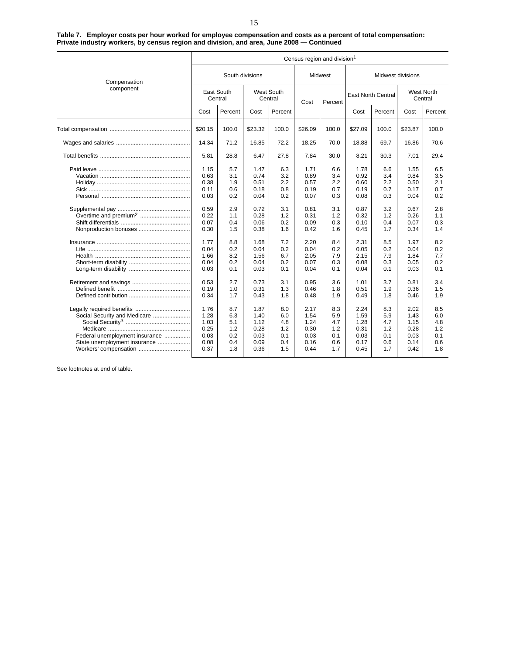**Table 7. Employer costs per hour worked for employee compensation and costs as a percent of total compensation: Private industry workers, by census region and division, and area, June 2008 — Continued**

|                                                                                                                         |                                                                                                                      |                                                                                                       |                                                                                                                      |                                                                                                       |                                                                                                                      | Census region and division <sup>1</sup>                                                               |                                                                                                                      |                           |                                                                                                                                                                                                                                                                                                                                                                                                                                                            |                                                                                                       |
|-------------------------------------------------------------------------------------------------------------------------|----------------------------------------------------------------------------------------------------------------------|-------------------------------------------------------------------------------------------------------|----------------------------------------------------------------------------------------------------------------------|-------------------------------------------------------------------------------------------------------|----------------------------------------------------------------------------------------------------------------------|-------------------------------------------------------------------------------------------------------|----------------------------------------------------------------------------------------------------------------------|---------------------------|------------------------------------------------------------------------------------------------------------------------------------------------------------------------------------------------------------------------------------------------------------------------------------------------------------------------------------------------------------------------------------------------------------------------------------------------------------|-------------------------------------------------------------------------------------------------------|
| Compensation                                                                                                            |                                                                                                                      | South divisions                                                                                       |                                                                                                                      |                                                                                                       |                                                                                                                      | Midwest                                                                                               | Midwest divisions                                                                                                    |                           |                                                                                                                                                                                                                                                                                                                                                                                                                                                            |                                                                                                       |
| component                                                                                                               | East South<br>Central                                                                                                |                                                                                                       | West South<br>Central                                                                                                |                                                                                                       | Cost                                                                                                                 | Percent                                                                                               |                                                                                                                      | <b>East North Central</b> |                                                                                                                                                                                                                                                                                                                                                                                                                                                            |                                                                                                       |
|                                                                                                                         | Cost                                                                                                                 | Percent                                                                                               | Cost                                                                                                                 | Percent                                                                                               |                                                                                                                      |                                                                                                       | Cost                                                                                                                 | Percent                   | West North<br>Central<br>Cost<br>100.0<br>\$23.87<br>69.7<br>16.86<br>30.3<br>7.01<br>6.6<br>1.55<br>3.4<br>0.84<br>2.2<br>0.50<br>0.7<br>0.17<br>0.3<br>0.04<br>3.2<br>0.67<br>1.2<br>0.26<br>0.4<br>0.07<br>1.7<br>0.34<br>8.5<br>1.97<br>0.2<br>0.04<br>7.9<br>1.84<br>0.3<br>0.05<br>0.1<br>0.03<br>3.7<br>0.81<br>1.9<br>0.36<br>1.8<br>0.46<br>8.3<br>2.02<br>5.9<br>1.43<br>4.7<br>1.15<br>0.28<br>1.2<br>0.1<br>0.03<br>0.6<br>0.14<br>1.7<br>0.42 | Percent                                                                                               |
|                                                                                                                         | \$20.15                                                                                                              | 100.0                                                                                                 | \$23.32                                                                                                              | 100.0                                                                                                 | \$26.09                                                                                                              | 100.0                                                                                                 | \$27.09                                                                                                              |                           |                                                                                                                                                                                                                                                                                                                                                                                                                                                            | 100.0                                                                                                 |
|                                                                                                                         | 14.34                                                                                                                | 71.2                                                                                                  | 16.85                                                                                                                | 72.2                                                                                                  | 18.25                                                                                                                | 70.0                                                                                                  | 18.88                                                                                                                |                           |                                                                                                                                                                                                                                                                                                                                                                                                                                                            | 70.6                                                                                                  |
|                                                                                                                         | 5.81                                                                                                                 | 28.8                                                                                                  | 6.47                                                                                                                 | 27.8                                                                                                  | 7.84                                                                                                                 | 30.0                                                                                                  | 8.21                                                                                                                 |                           |                                                                                                                                                                                                                                                                                                                                                                                                                                                            | 29.4                                                                                                  |
|                                                                                                                         | 1.15<br>0.63<br>0.38<br>0.11<br>0.03<br>0.59<br>0.22<br>0.07<br>0.30<br>1.77<br>0.04<br>1.66<br>0.04<br>0.03<br>0.53 | 5.7<br>3.1<br>1.9<br>0.6<br>0.2<br>2.9<br>1.1<br>0.4<br>1.5<br>8.8<br>0.2<br>8.2<br>0.2<br>0.1<br>2.7 | 1.47<br>0.74<br>0.51<br>0.18<br>0.04<br>0.72<br>0.28<br>0.06<br>0.38<br>1.68<br>0.04<br>1.56<br>0.04<br>0.03<br>0.73 | 6.3<br>3.2<br>2.2<br>0.8<br>0.2<br>3.1<br>1.2<br>0.2<br>1.6<br>7.2<br>0.2<br>6.7<br>0.2<br>0.1<br>3.1 | 1.71<br>0.89<br>0.57<br>0.19<br>0.07<br>0.81<br>0.31<br>0.09<br>0.42<br>2.20<br>0.04<br>2.05<br>0.07<br>0.04<br>0.95 | 6.6<br>3.4<br>2.2<br>0.7<br>0.3<br>3.1<br>1.2<br>0.3<br>1.6<br>8.4<br>0.2<br>7.9<br>0.3<br>0.1<br>3.6 | 1.78<br>0.92<br>0.60<br>0.19<br>0.08<br>0.87<br>0.32<br>0.10<br>0.45<br>2.31<br>0.05<br>2.15<br>0.08<br>0.04<br>1.01 |                           |                                                                                                                                                                                                                                                                                                                                                                                                                                                            | 6.5<br>3.5<br>2.1<br>0.7<br>0.2<br>2.8<br>1.1<br>0.3<br>1.4<br>8.2<br>0.2<br>7.7<br>0.2<br>0.1<br>3.4 |
|                                                                                                                         | 0.19<br>0.34                                                                                                         | 1.0<br>1.7                                                                                            | 0.31<br>0.43                                                                                                         | 1.3<br>1.8                                                                                            | 0.46<br>0.48                                                                                                         | 1.8<br>1.9                                                                                            | 0.51<br>0.49                                                                                                         |                           |                                                                                                                                                                                                                                                                                                                                                                                                                                                            | 1.5<br>1.9                                                                                            |
| Social Security and Medicare<br>Federal unemployment insurance<br>State unemployment insurance<br>Workers' compensation | 1.76<br>1.28<br>1.03<br>0.25<br>0.03<br>0.08<br>0.37                                                                 | 8.7<br>6.3<br>5.1<br>1.2<br>0.2<br>0.4<br>1.8                                                         | 1.87<br>1.40<br>1.12<br>0.28<br>0.03<br>0.09<br>0.36                                                                 | 8.0<br>6.0<br>4.8<br>1.2<br>0.1<br>0.4<br>1.5                                                         | 2.17<br>1.54<br>1.24<br>0.30<br>0.03<br>0.16<br>0.44                                                                 | 8.3<br>5.9<br>4.7<br>1.2<br>0.1<br>0.6<br>1.7                                                         | 2.24<br>1.59<br>1.28<br>0.31<br>0.03<br>0.17<br>0.45                                                                 |                           |                                                                                                                                                                                                                                                                                                                                                                                                                                                            | 8.5<br>6.0<br>4.8<br>1.2<br>0.1<br>0.6<br>1.8                                                         |

See footnotes at end of table.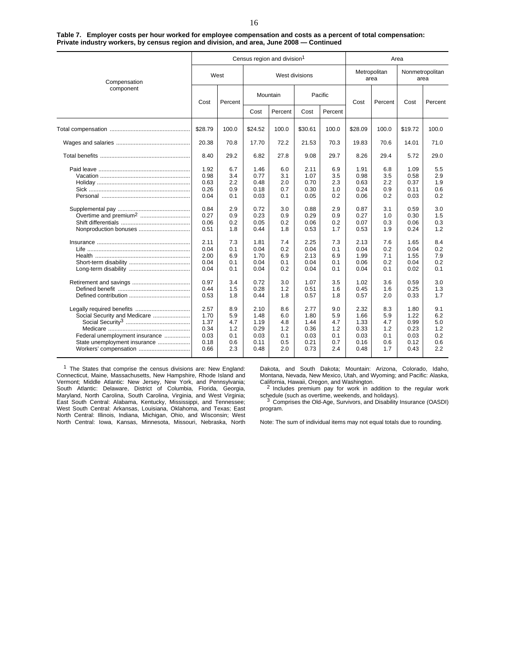| Table 7. Employer costs per hour worked for employee compensation and costs as a percent of total compensation: |  |
|-----------------------------------------------------------------------------------------------------------------|--|
| Private industry workers, by census region and division, and area, June 2008 — Continued                        |  |
|                                                                                                                 |  |

|                                                                                                                         |                                                      |                                               |                                                      | Census region and division <sup>1</sup>       |                                                      |                                               |                                                      |         |                                                                                                                                                                                                                                                                                                                                                                                                           |                                               |
|-------------------------------------------------------------------------------------------------------------------------|------------------------------------------------------|-----------------------------------------------|------------------------------------------------------|-----------------------------------------------|------------------------------------------------------|-----------------------------------------------|------------------------------------------------------|---------|-----------------------------------------------------------------------------------------------------------------------------------------------------------------------------------------------------------------------------------------------------------------------------------------------------------------------------------------------------------------------------------------------------------|-----------------------------------------------|
| Compensation                                                                                                            |                                                      | West                                          |                                                      | West divisions                                |                                                      |                                               | Metropolitan<br>area                                 |         | Nonmetropolitan<br>area                                                                                                                                                                                                                                                                                                                                                                                   |                                               |
| component                                                                                                               | Cost                                                 | Percent                                       |                                                      | Mountain                                      |                                                      | Pacific                                       | Cost                                                 | Percent | Cost                                                                                                                                                                                                                                                                                                                                                                                                      | Percent                                       |
|                                                                                                                         |                                                      |                                               | Cost                                                 | Percent                                       | Cost                                                 | Percent                                       |                                                      |         | Area<br>\$19.72<br>70.6<br>14.01<br>29.4<br>5.72<br>6.8<br>1.09<br>3.5<br>0.58<br>2.2<br>0.37<br>0.9<br>0.11<br>0.2<br>0.03<br>0.59<br>3.1<br>1.0<br>0.30<br>0.3<br>0.06<br>1.9<br>0.24<br>7.6<br>1.65<br>0.2<br>0.04<br>1.55<br>7.1<br>0.2<br>0.04<br>0.02<br>0.1<br>3.6<br>0.59<br>0.25<br>1.6<br>2.0<br>0.33<br>8.3<br>1.80<br>5.9<br>1.22<br>4.7<br>0.99<br>1.2<br>0.23<br>0.1<br>0.03<br>0.12<br>0.6 |                                               |
|                                                                                                                         | \$28.79                                              | 100.0                                         | \$24.52                                              | 100.0                                         | \$30.61                                              | 100.0                                         | \$28.09                                              | 100.0   |                                                                                                                                                                                                                                                                                                                                                                                                           | 100.0                                         |
|                                                                                                                         | 20.38                                                | 70.8                                          | 17.70                                                | 72.2                                          | 21.53                                                | 70.3                                          | 19.83                                                |         |                                                                                                                                                                                                                                                                                                                                                                                                           | 71.0                                          |
|                                                                                                                         | 8.40                                                 | 29.2                                          | 6.82                                                 | 27.8                                          | 9.08                                                 | 29.7                                          | 8.26                                                 |         |                                                                                                                                                                                                                                                                                                                                                                                                           | 29.0                                          |
|                                                                                                                         | 1.92<br>0.98<br>0.63<br>0.26<br>0.04                 | 6.7<br>3.4<br>2.2<br>0.9<br>0.1               | 1.46<br>0.77<br>0.48<br>0.18<br>0.03                 | 6.0<br>3.1<br>2.0<br>0.7<br>0.1               | 2.11<br>1.07<br>0.70<br>0.30<br>0.05                 | 6.9<br>3.5<br>2.3<br>1.0<br>0.2               | 1.91<br>0.98<br>0.63<br>0.24<br>0.06                 |         |                                                                                                                                                                                                                                                                                                                                                                                                           | 5.5<br>2.9<br>1.9<br>0.6<br>0.2               |
| Overtime and premium <sup>2</sup><br>Nonproduction bonuses                                                              | 0.84<br>0.27<br>0.06<br>0.51                         | 2.9<br>0.9<br>0.2<br>1.8                      | 0.72<br>0.23<br>0.05<br>0.44                         | 3.0<br>0.9<br>0.2<br>1.8                      | 0.88<br>0.29<br>0.06<br>0.53                         | 2.9<br>0.9<br>0.2<br>1.7                      | 0.87<br>0.27<br>0.07<br>0.53                         |         |                                                                                                                                                                                                                                                                                                                                                                                                           | 3.0<br>1.5<br>0.3<br>1.2                      |
|                                                                                                                         | 2.11<br>0.04<br>2.00<br>0.04<br>0.04                 | 7.3<br>0.1<br>6.9<br>0.1<br>0.1               | 1.81<br>0.04<br>1.70<br>0.04<br>0.04                 | 7.4<br>0.2<br>6.9<br>0.1<br>0.2               | 2.25<br>0.04<br>2.13<br>0.04<br>0.04                 | 7.3<br>0.1<br>6.9<br>0.1<br>0.1               | 2.13<br>0.04<br>1.99<br>0.06<br>0.04                 |         |                                                                                                                                                                                                                                                                                                                                                                                                           | 8.4<br>0.2<br>7.9<br>0.2<br>0.1               |
|                                                                                                                         | 0.97<br>0.44<br>0.53                                 | 3.4<br>1.5<br>1.8                             | 0.72<br>0.28<br>0.44                                 | 3.0<br>1.2<br>1.8                             | 1.07<br>0.51<br>0.57                                 | 3.5<br>1.6<br>1.8                             | 1.02<br>0.45<br>0.57                                 |         |                                                                                                                                                                                                                                                                                                                                                                                                           | 3.0<br>1.3<br>1.7                             |
| Social Security and Medicare<br>Federal unemployment insurance<br>State unemployment insurance<br>Workers' compensation | 2.57<br>1.70<br>1.37<br>0.34<br>0.03<br>0.18<br>0.66 | 8.9<br>5.9<br>4.7<br>1.2<br>0.1<br>0.6<br>2.3 | 2.10<br>1.48<br>1.19<br>0.29<br>0.03<br>0.11<br>0.48 | 8.6<br>6.0<br>4.8<br>1.2<br>0.1<br>0.5<br>2.0 | 2.77<br>1.80<br>1.44<br>0.36<br>0.03<br>0.21<br>0.73 | 9.0<br>5.9<br>4.7<br>1.2<br>0.1<br>0.7<br>2.4 | 2.32<br>1.66<br>1.33<br>0.33<br>0.03<br>0.16<br>0.48 | 1.7     | 0.43                                                                                                                                                                                                                                                                                                                                                                                                      | 9.1<br>6.2<br>5.0<br>1.2<br>0.2<br>0.6<br>2.2 |

<sup>1</sup> The States that comprise the census divisions are: New England: Connecticut, Maine, Massachusetts, New Hampshire, Rhode Island and Vermont; Middle Atlantic: New Jersey, New York, and Pennsylvania; South Atlantic: Delaware, District of Columbia, Florida, Georgia, Maryland, North Carolina, South Carolina, Virginia, and West Virginia; East South Central: Alabama, Kentucky, Mississippi, and Tennessee; West South Central: Arkansas, Louisiana, Oklahoma, and Texas; East North Central: Illinois, Indiana, Michigan, Ohio, and Wisconsin; West North Central: Iowa, Kansas, Minnesota, Missouri, Nebraska, North Dakota, and South Dakota; Mountain: Arizona, Colorado, Idaho, Montana, Nevada, New Mexico, Utah, and Wyoming; and Pacific: Alaska,

<sup>2</sup> Includes premium pay for work in addition to the regular work schedule (such as overtime, weekends, and holidays).<br><sup>3</sup> Comprises the Old-Age, Survivors, and Disability Insurance (OASDI)

program.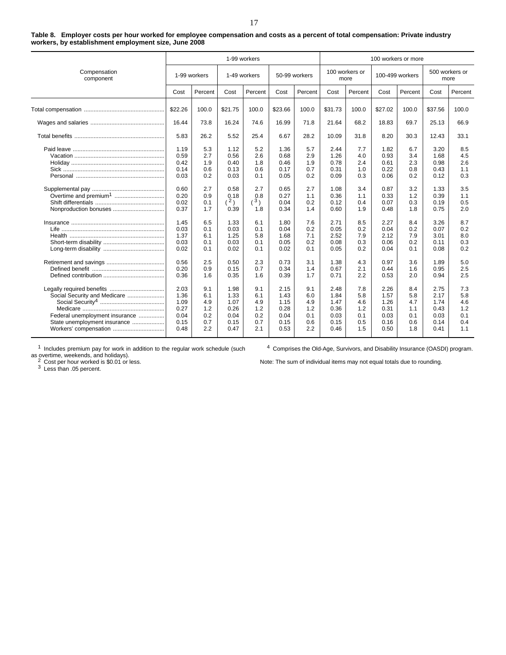| Table 8. Employer costs per hour worked for employee compensation and costs as a percent of total compensation: Private industry |
|----------------------------------------------------------------------------------------------------------------------------------|
| workers, by establishment employment size, June 2008                                                                             |

|                                                                                                                                                      |                                                                                                              |                                                                                                | 1-99 workers                                                                                                |                                                                                                   |                                                                                                              |                                                                                                |                                                                                                              |                                                                                                |                                                                                                              | 100 workers or more                                                                            |                                                                                                              |                                                                                                |  |
|------------------------------------------------------------------------------------------------------------------------------------------------------|--------------------------------------------------------------------------------------------------------------|------------------------------------------------------------------------------------------------|-------------------------------------------------------------------------------------------------------------|---------------------------------------------------------------------------------------------------|--------------------------------------------------------------------------------------------------------------|------------------------------------------------------------------------------------------------|--------------------------------------------------------------------------------------------------------------|------------------------------------------------------------------------------------------------|--------------------------------------------------------------------------------------------------------------|------------------------------------------------------------------------------------------------|--------------------------------------------------------------------------------------------------------------|------------------------------------------------------------------------------------------------|--|
| Compensation<br>component                                                                                                                            | 1-99 workers                                                                                                 |                                                                                                | 1-49 workers                                                                                                |                                                                                                   |                                                                                                              | 50-99 workers                                                                                  | 100 workers or                                                                                               | more                                                                                           | 100-499 workers                                                                                              |                                                                                                | 500 workers or<br>more                                                                                       |                                                                                                |  |
|                                                                                                                                                      | Cost                                                                                                         | Percent                                                                                        | Cost                                                                                                        | Percent                                                                                           | Cost                                                                                                         | Percent                                                                                        | Cost                                                                                                         | Percent                                                                                        | Cost                                                                                                         | Percent                                                                                        | Cost                                                                                                         | Percent                                                                                        |  |
|                                                                                                                                                      | \$22.26                                                                                                      | 100.0                                                                                          | \$21.75                                                                                                     | 100.0                                                                                             | \$23.66                                                                                                      | 100.0                                                                                          | \$31.73                                                                                                      | 100.0                                                                                          | \$27.02                                                                                                      | 100.0                                                                                          | \$37.56                                                                                                      | 100.0                                                                                          |  |
|                                                                                                                                                      | 16.44                                                                                                        | 73.8                                                                                           | 16.24                                                                                                       | 74.6                                                                                              | 16.99                                                                                                        | 71.8                                                                                           | 21.64                                                                                                        | 68.2                                                                                           | 18.83                                                                                                        | 69.7                                                                                           | 25.13                                                                                                        | 66.9                                                                                           |  |
|                                                                                                                                                      | 5.83                                                                                                         | 26.2                                                                                           | 5.52                                                                                                        | 25.4                                                                                              | 6.67                                                                                                         | 28.2                                                                                           | 10.09                                                                                                        | 31.8                                                                                           | 8.20                                                                                                         | 30.3                                                                                           | 12.43                                                                                                        | 33.1                                                                                           |  |
| Overtime and premium <sup>1</sup><br>Nonproduction bonuses                                                                                           | 1.19<br>0.59<br>0.42<br>0.14<br>0.03<br>0.60<br>0.20<br>0.02<br>0.37<br>1.45<br>0.03<br>1.37<br>0.03<br>0.02 | 5.3<br>2.7<br>1.9<br>0.6<br>0.2<br>2.7<br>0.9<br>0.1<br>1.7<br>6.5<br>0.1<br>6.1<br>0.1<br>0.1 | 1.12<br>0.56<br>0.40<br>0.13<br>0.03<br>0.58<br>0.18<br>(2)<br>0.39<br>1.33<br>0.03<br>1.25<br>0.03<br>0.02 | 5.2<br>2.6<br>1.8<br>0.6<br>0.1<br>2.7<br>0.8<br>$(^3)$<br>1.8<br>6.1<br>0.1<br>5.8<br>0.1<br>0.1 | 1.36<br>0.68<br>0.46<br>0.17<br>0.05<br>0.65<br>0.27<br>0.04<br>0.34<br>1.80<br>0.04<br>1.68<br>0.05<br>0.02 | 5.7<br>2.9<br>1.9<br>0.7<br>0.2<br>2.7<br>1.1<br>0.2<br>1.4<br>7.6<br>0.2<br>7.1<br>0.2<br>0.1 | 2.44<br>1.26<br>0.78<br>0.31<br>0.09<br>1.08<br>0.36<br>0.12<br>0.60<br>2.71<br>0.05<br>2.52<br>0.08<br>0.05 | 7.7<br>4.0<br>2.4<br>1.0<br>0.3<br>3.4<br>1.1<br>0.4<br>1.9<br>8.5<br>0.2<br>7.9<br>0.3<br>0.2 | 1.82<br>0.93<br>0.61<br>0.22<br>0.06<br>0.87<br>0.33<br>0.07<br>0.48<br>2.27<br>0.04<br>2.12<br>0.06<br>0.04 | 6.7<br>3.4<br>2.3<br>0.8<br>0.2<br>3.2<br>1.2<br>0.3<br>1.8<br>8.4<br>0.2<br>7.9<br>0.2<br>0.1 | 3.20<br>1.68<br>0.98<br>0.43<br>0.12<br>1.33<br>0.39<br>0.19<br>0.75<br>3.26<br>0.07<br>3.01<br>0.11<br>0.08 | 8.5<br>4.5<br>2.6<br>1.1<br>0.3<br>3.5<br>1.1<br>0.5<br>2.0<br>8.7<br>0.2<br>8.0<br>0.3<br>0.2 |  |
|                                                                                                                                                      | 0.56<br>0.20<br>0.36                                                                                         | 2.5<br>0.9<br>1.6                                                                              | 0.50<br>0.15<br>0.35                                                                                        | 2.3<br>0.7<br>1.6                                                                                 | 0.73<br>0.34<br>0.39                                                                                         | 3.1<br>1.4<br>1.7                                                                              | 1.38<br>0.67<br>0.71                                                                                         | 4.3<br>2.1<br>2.2                                                                              | 0.97<br>0.44<br>0.53                                                                                         | 3.6<br>1.6<br>2.0                                                                              | 1.89<br>0.95<br>0.94                                                                                         | 5.0<br>2.5<br>2.5                                                                              |  |
| Legally required benefits<br>Social Security and Medicare<br>Federal unemployment insurance<br>State unemployment insurance<br>Workers' compensation | 2.03<br>1.36<br>1.09<br>0.27<br>0.04<br>0.15<br>0.48                                                         | 9.1<br>6.1<br>4.9<br>1.2<br>0.2<br>0.7<br>2.2                                                  | 1.98<br>1.33<br>1.07<br>0.26<br>0.04<br>0.15<br>0.47                                                        | 9.1<br>6.1<br>4.9<br>1.2<br>0.2<br>0.7<br>2.1                                                     | 2.15<br>1.43<br>1.15<br>0.28<br>0.04<br>0.15<br>0.53                                                         | 9.1<br>6.0<br>4.9<br>1.2<br>0.1<br>0.6<br>2.2                                                  | 2.48<br>1.84<br>1.47<br>0.36<br>0.03<br>0.15<br>0.46                                                         | 7.8<br>5.8<br>4.6<br>1.2<br>0.1<br>0.5<br>1.5                                                  | 2.26<br>1.57<br>1.26<br>0.31<br>0.03<br>0.16<br>0.50                                                         | 8.4<br>5.8<br>4.7<br>1.1<br>0.1<br>0.6<br>1.8                                                  | 2.75<br>2.17<br>1.74<br>0.43<br>0.03<br>0.14<br>0.41                                                         | 7.3<br>5.8<br>4.6<br>1.2<br>0.1<br>0.4<br>1.1                                                  |  |

 $1$  Includes premium pay for work in addition to the regular work schedule (such

<sup>4</sup> Comprises the Old-Age, Survivors, and Disability Insurance (OASDI) program.

as overtime, weekends, and holidays).<br><sup>2</sup> Cost per hour worked is \$0.01 or less.<br><sup>3</sup> Less than .05 percent.

17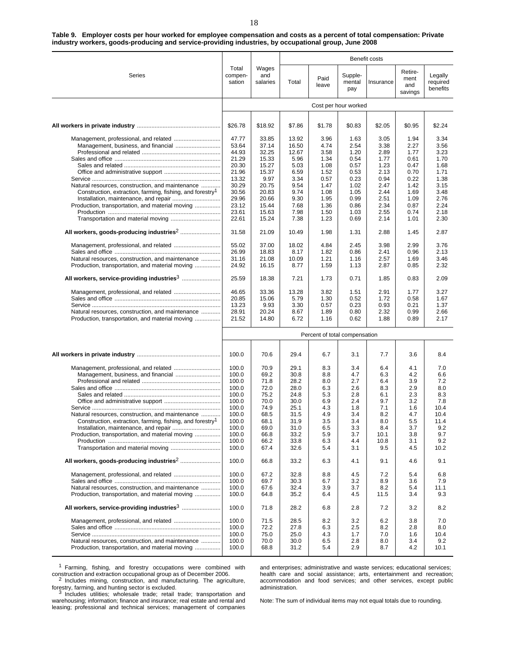**Table 9. Employer costs per hour worked for employee compensation and costs as a percent of total compensation: Private industry workers, goods-producing and service-providing industries, by occupational group, June 2008**

|                                                                                                                                              |                                           |                                          |                                       |                                      |                                      | Benefit costs                        |                                      |                                      |
|----------------------------------------------------------------------------------------------------------------------------------------------|-------------------------------------------|------------------------------------------|---------------------------------------|--------------------------------------|--------------------------------------|--------------------------------------|--------------------------------------|--------------------------------------|
| Series                                                                                                                                       | Total<br>compen-<br>sation                | Wages<br>and<br>salaries                 | Total                                 | Paid<br>leave                        | Supple-<br>mental<br>pay             | Insurance                            | Retire-<br>ment<br>and<br>savings    | Legally<br>required<br>benefits      |
|                                                                                                                                              |                                           |                                          |                                       |                                      | Cost per hour worked                 |                                      |                                      |                                      |
|                                                                                                                                              | \$26.78                                   | \$18.92                                  | \$7.86                                | \$1.78                               | \$0.83                               | \$2.05                               | \$0.95                               | \$2.24                               |
| Management, professional, and related                                                                                                        | 47.77<br>53.64<br>44.93                   | 33.85<br>37.14<br>32.25                  | 13.92<br>16.50<br>12.67               | 3.96<br>4.74<br>3.58                 | 1.63<br>2.54<br>1.20                 | 3.05<br>3.38<br>2.89                 | 1.94<br>2.27<br>1.77                 | 3.34<br>3.56<br>3.23                 |
|                                                                                                                                              | 21.29<br>20.30<br>21.96<br>13.32          | 15.33<br>15.27<br>15.37<br>9.97          | 5.96<br>5.03<br>6.59<br>3.34          | 1.34<br>1.08<br>1.52<br>0.57         | 0.54<br>0.57<br>0.53<br>0.23         | 1.77<br>1.23<br>2.13<br>0.94         | 0.61<br>0.47<br>0.70<br>0.22         | 1.70<br>1.68<br>1.71<br>1.38         |
| Natural resources, construction, and maintenance<br>Construction, extraction, farming, fishing, and forestry <sup>1</sup>                    | 30.29<br>30.56<br>29.96                   | 20.75<br>20.83<br>20.66                  | 9.54<br>9.74<br>9.30                  | 1.47<br>1.08<br>1.95                 | 1.02<br>1.05<br>0.99                 | 2.47<br>2.44<br>2.51                 | 1.42<br>1.69<br>1.09                 | 3.15<br>3.48<br>2.76                 |
| Production, transportation, and material moving                                                                                              | 23.12<br>23.61<br>22.61                   | 15.44<br>15.63<br>15.24                  | 7.68<br>7.98<br>7.38                  | 1.36<br>1.50<br>1.23                 | 0.86<br>1.03<br>0.69                 | 2.34<br>2.55<br>2.14                 | 0.87<br>0.74<br>1.01                 | 2.24<br>2.18<br>2.30                 |
|                                                                                                                                              | 31.58                                     | 21.09                                    | 10.49                                 | 1.98                                 | 1.31                                 | 2.88                                 | 1.45                                 | 2.87                                 |
| Management, professional, and related<br>Natural resources, construction, and maintenance<br>Production, transportation, and material moving | 55.02<br>26.99<br>31.16<br>24.92          | 37.00<br>18.83<br>21.08<br>16.15         | 18.02<br>8.17<br>10.09<br>8.77        | 4.84<br>1.82<br>1.21<br>1.59         | 2.45<br>0.86<br>1.16<br>1.13         | 3.98<br>2.41<br>2.57<br>2.87         | 2.99<br>0.96<br>1.69<br>0.85         | 3.76<br>2.13<br>3.46<br>2.32         |
| All workers, service-providing industries <sup>3</sup>                                                                                       | 25.59                                     | 18.38                                    | 7.21                                  | 1.73                                 | 0.71                                 | 1.85                                 | 0.83                                 | 2.09                                 |
| Natural resources, construction, and maintenance<br>Production, transportation, and material moving                                          | 46.65<br>20.85<br>13.23<br>28.91<br>21.52 | 33.36<br>15.06<br>9.93<br>20.24<br>14.80 | 13.28<br>5.79<br>3.30<br>8.67<br>6.72 | 3.82<br>1.30<br>0.57<br>1.89<br>1.16 | 1.51<br>0.52<br>0.23<br>0.80<br>0.62 | 2.91<br>1.72<br>0.93<br>2.32<br>1.88 | 1.77<br>0.58<br>0.21<br>0.99<br>0.89 | 3.27<br>1.67<br>1.37<br>2.66<br>2.17 |
|                                                                                                                                              |                                           |                                          |                                       |                                      |                                      |                                      |                                      |                                      |
|                                                                                                                                              |                                           |                                          |                                       |                                      | Percent of total compensation        |                                      |                                      |                                      |
|                                                                                                                                              | 100.0                                     | 70.6                                     | 29.4                                  | 6.7                                  | 3.1                                  | 7.7                                  | 3.6                                  | 8.4                                  |
| Management, professional, and related                                                                                                        | 100.0<br>100.0<br>100.0<br>100.0          | 70.9<br>69.2<br>71.8<br>72.0             | 29.1<br>30.8<br>28.2<br>28.0          | 8.3<br>8.8<br>8.0<br>6.3             | 3.4<br>4.7<br>2.7<br>2.6             | 6.4<br>6.3<br>6.4<br>8.3             | 4.1<br>4.2<br>3.9<br>2.9             | 7.0<br>6.6<br>7.2<br>8.0             |
| Natural resources, construction, and maintenance                                                                                             | 100.0<br>100.0<br>100.0<br>100.0          | 75.2<br>70.0<br>74.9<br>68.5<br>68.1     | 24.8<br>30.0<br>25.1<br>31.5          | 5.3<br>6.9<br>4.3<br>4.9             | 2.8<br>2.4<br>1.8<br>3.4<br>3.4      | 6.1<br>9.7<br>7.1<br>8.2<br>8.0      | 2.3<br>3.2<br>1.6<br>4.7             | 8.3<br>7.8<br>10.4<br>10.4<br>11.4   |
| Construction, extraction, farming, fishing, and forestry <sup>1</sup><br>Production, transportation, and material moving                     | 100.0<br>100.0<br>100.0<br>100.0<br>100.0 | 69.0<br>66.8<br>66.2<br>67.4             | 31.9<br>31.0<br>33.2<br>33.8<br>32.6  | 3.5<br>6.5<br>5.9<br>6.3<br>5.4      | 3.3<br>3.7<br>4.4<br>3.1             | 8.4<br>10.1<br>10.8<br>9.5           | 5.5<br>3.7<br>3.8<br>3.1<br>4.5      | 9.2<br>9.7<br>9.2<br>10.2            |
|                                                                                                                                              | 100.0                                     | 66.8                                     | 33.2                                  | 6.3                                  | 4.1                                  | 9.1                                  | 4.6                                  | 9.1                                  |
| Management, professional, and related<br>Natural resources, construction, and maintenance<br>Production, transportation, and material moving | 100.0<br>100.0<br>100.0<br>100.0          | 67.2<br>69.7<br>67.6<br>64.8             | 32.8<br>30.3<br>32.4<br>35.2          | 8.8<br>6.7<br>3.9<br>6.4             | 4.5<br>3.2<br>3.7<br>4.5             | 7.2<br>8.9<br>8.2<br>11.5            | 5.4<br>3.6<br>5.4<br>3.4             | 6.8<br>7.9<br>11.1<br>9.3            |
|                                                                                                                                              | 100.0                                     | 71.8                                     | 28.2                                  | 6.8                                  | 2.8                                  | 7.2                                  | 3.2                                  | 8.2                                  |
| Management, professional, and related<br>Natural resources, construction, and maintenance<br>Production, transportation, and material moving | 100.0<br>100.0<br>100.0<br>100.0<br>100.0 | 71.5<br>72.2<br>75.0<br>70.0<br>68.8     | 28.5<br>27.8<br>25.0<br>30.0<br>31.2  | 8.2<br>6.3<br>4.3<br>6.5<br>5.4      | 3.2<br>2.5<br>1.7<br>2.8<br>2.9      | 6.2<br>8.2<br>7.0<br>8.0<br>8.7      | 3.8<br>2.8<br>1.6<br>3.4<br>4.2      | 7.0<br>8.0<br>10.4<br>9.2<br>10.1    |

<sup>1</sup> Farming, fishing, and forestry occupations were combined with construction and extraction occupational group as of December 2006. <sup>2</sup> Includes mining, construction, and manufacturing. The agriculture,

forestry, farming, and hunting sector is excluded.<br>
<sup>3</sup> Includes utilities; wholesale trade; retail trade; transportation and

warehousing; information; finance and insurance; real estate and rental and leasing; professional and technical services; management of companies

and enterprises; administrative and waste services; educational services; health care and social assistance; arts, entertainment and recreation; accommodation and food services; and other services, except public administration.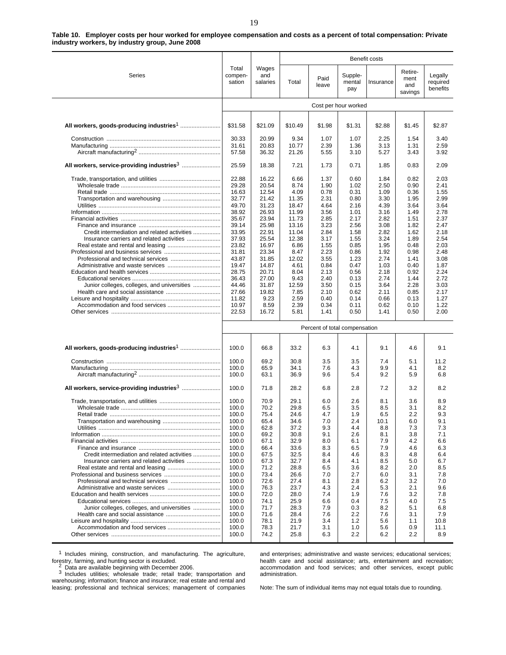|                                              |                            |                          |                |                               |                          | Benefit costs |                                   |                                 |
|----------------------------------------------|----------------------------|--------------------------|----------------|-------------------------------|--------------------------|---------------|-----------------------------------|---------------------------------|
| Series                                       | Total<br>compen-<br>sation | Wages<br>and<br>salaries | Total          | Paid<br>leave                 | Supple-<br>mental<br>pay | Insurance     | Retire-<br>ment<br>and<br>savings | Legally<br>required<br>benefits |
|                                              |                            |                          |                |                               | Cost per hour worked     |               |                                   |                                 |
|                                              |                            |                          |                |                               |                          |               |                                   |                                 |
|                                              | \$31.58                    | \$21.09                  | \$10.49        | \$1.98                        | \$1.31                   | \$2.88        | \$1.45                            | \$2.87                          |
|                                              | 30.33                      | 20.99                    | 9.34           | 1.07                          | 1.07                     | 2.25          | 1.54                              | 3.40                            |
|                                              | 31.61                      | 20.83                    | 10.77          | 2.39                          | 1.36                     | 3.13          | 1.31                              | 2.59                            |
|                                              | 57.58                      | 36.32                    | 21.26          | 5.55                          | 3.10                     | 5.27          | 3.43                              | 3.92                            |
|                                              | 25.59                      | 18.38                    | 7.21           | 1.73                          | 0.71                     | 1.85          | 0.83                              | 2.09                            |
|                                              | 22.88                      | 16.22                    | 6.66           | 1.37                          | 0.60                     | 1.84          | 0.82                              | 2.03                            |
|                                              | 29.28                      | 20.54                    | 8.74           | 1.90                          | 1.02                     | 2.50          | 0.90                              | 2.41                            |
|                                              | 16.63                      | 12.54                    | 4.09           | 0.78                          | 0.31                     | 1.09          | 0.36                              | 1.55                            |
|                                              | 32.77                      | 21.42                    | 11.35          | 2.31                          | 0.80                     | 3.30          | 1.95                              | 2.99                            |
|                                              | 49.70                      | 31.23                    | 18.47          | 4.64                          | 2.16                     | 4.39          | 3.64                              | 3.64                            |
|                                              | 38.92<br>35.67             | 26.93<br>23.94           | 11.99<br>11.73 | 3.56<br>2.85                  | 1.01<br>2.17             | 3.16<br>2.82  | 1.49<br>1.51                      | 2.78<br>2.37                    |
|                                              | 39.14                      | 25.98                    | 13.16          | 3.23                          | 2.56                     | 3.08          | 1.82                              | 2.47                            |
| Credit intermediation and related activities | 33.95                      | 22.91                    | 11.04          | 2.84                          | 1.58                     | 2.82          | 1.62                              | 2.18                            |
| Insurance carriers and related activities    | 37.93                      | 25.54                    | 12.38          | 3.17                          | 1.55                     | 3.24          | 1.89                              | 2.54                            |
|                                              | 23.82                      | 16.97                    | 6.86           | 1.55                          | 0.85                     | 1.95          | 0.48                              | 2.03                            |
|                                              | 31.81                      | 23.34                    | 8.47           | 2.23                          | 0.86                     | 1.92          | 0.98                              | 2.48                            |
|                                              | 43.87                      | 31.85                    | 12.02          | 3.55                          | 1.23                     | 2.74          | 1.41                              | 3.08                            |
|                                              | 19.47                      | 14.87                    | 4.61           | 0.84                          | 0.47                     | 1.03          | 0.40                              | 1.87                            |
|                                              | 28.75                      | 20.71                    | 8.04           | 2.13                          | 0.56                     | 2.18          | 0.92                              | 2.24                            |
| Junior colleges, colleges, and universities  | 36.43<br>44.46             | 27.00<br>31.87           | 9.43<br>12.59  | 2.40<br>3.50                  | 0.13<br>0.15             | 2.74<br>3.64  | 1.44<br>2.28                      | 2.72<br>3.03                    |
|                                              | 27.66                      | 19.82                    | 7.85           | 2.10                          | 0.62                     | 2.11          | 0.85                              | 2.17                            |
|                                              | 11.82                      | 9.23                     | 2.59           | 0.40                          | 0.14                     | 0.66          | 0.13                              | 1.27                            |
|                                              | 10.97                      | 8.59                     | 2.39           | 0.34                          | 0.11                     | 0.62          | 0.10                              | 1.22                            |
|                                              | 22.53                      | 16.72                    | 5.81           | 1.41                          | 0.50                     | 1.41          | 0.50                              | 2.00                            |
|                                              |                            |                          |                | Percent of total compensation |                          |               |                                   |                                 |
|                                              | 100.0                      | 66.8                     | 33.2           | 6.3                           | 4.1                      | 9.1           | 4.6                               | 9.1                             |
|                                              | 100.0                      | 69.2                     | 30.8           | 3.5                           | 3.5                      | 7.4           | 5.1                               | 11.2                            |
|                                              | 100.0                      | 65.9                     | 34.1           | 7.6                           | 4.3                      | 9.9           | 4.1                               | 8.2                             |
|                                              | 100.0                      | 63.1                     | 36.9           | 9.6                           | 5.4                      | 9.2           | 5.9                               | 6.8                             |
|                                              | 100.0                      | 71.8                     | 28.2           | 6.8                           | 2.8                      | 7.2           | 3.2                               | 8.2                             |
|                                              | 100.0                      | 70.9                     | 29.1           | 6.0                           | 2.6                      | 8.1           | 3.6                               | 8.9                             |
|                                              | 100.0                      | 70.2                     | 29.8           | 6.5                           | 3.5                      | 8.5           | 3.1                               | 8.2                             |
|                                              | 100.0                      | 75.4                     | 24.6           | 4.7                           | 1.9                      | 6.5           | 2.2                               | 9.3                             |
|                                              | 100.0                      | 65.4                     | 34.6           | 7.0                           | 2.4                      | 10.1          | 6.0                               | 9.1                             |
|                                              | 100.0                      | 62.8                     | 37.2           | 9.3                           | 44                       | 8.8           | 7.3                               | 7.3                             |
|                                              | 100.0<br>100.0             | 69.2<br>67.1             | 30.8<br>32.9   | 9.1<br>8.0                    | 2.6<br>6.1               | 8.1<br>7.9    | 3.8<br>4.2                        | 7.1<br>6.6                      |
|                                              | 100.0                      | 66.4                     | 33.6           | 8.3                           | 6.5                      | 7.9           | 4.6                               | 6.3                             |
| Credit intermediation and related activities | 100.0                      | 67.5                     | 32.5           | 8.4                           | 4.6                      | 8.3           | 4.8                               | 6.4                             |
| Insurance carriers and related activities    | 100.0                      | 67.3                     | 32.7           | 8.4                           | 4.1                      | 8.5           | 5.0                               | 6.7                             |
|                                              | 100.0                      | 71.2                     | 28.8           | 6.5                           | 3.6                      | 8.2           | 2.0                               | 8.5                             |
|                                              | 100.0                      | 73.4                     | 26.6           | 7.0                           | 2.7                      | 6.0           | 3.1                               | 7.8                             |
|                                              | 100.0                      | 72.6                     | 27.4           | 8.1                           | 2.8                      | 6.2           | 3.2                               | 7.0                             |
|                                              | 100.0                      | 76.3                     | 23.7<br>28.0   | 4.3                           | 2.4<br>1.9               | 5.3           | 2.1<br>3.2                        | 9.6                             |
|                                              | 100.0<br>100.0             | 72.0<br>74.1             | 25.9           | 7.4<br>6.6                    | 0.4                      | 7.6<br>7.5    | 4.0                               | 7.8<br>7.5                      |
| Junior colleges, colleges, and universities  | 100.0                      | 71.7                     | 28.3           | 7.9                           | 0.3                      | 8.2           | 5.1                               | 6.8                             |
|                                              | 100.0                      | 71.6                     | 28.4           | 7.6                           | 2.2                      | 7.6           | 3.1                               | 7.9                             |
|                                              | 100.0                      | 78.1                     | 21.9           | 3.4                           | $1.2$                    | 5.6           | 1.1                               | 10.8                            |
|                                              | 100.0                      | 78.3                     | 21.7           | 3.1                           | 1.0                      | 5.6           | 0.9                               | 11.1                            |
|                                              | 100.0                      | 74.2                     | 25.8           | 6.3                           | 2.2                      | 6.2           | 2.2                               | 8.9                             |

**Table 10. Employer costs per hour worked for employee compensation and costs as a percent of total compensation: Private industry workers, by industry group, June 2008**

 $1$  Includes mining, construction, and manufacturing. The agriculture, forestry, farming, and hunting sector is excluded.<br><sup>2</sup> Data are available beginning with December 2006.<br><sup>3</sup> Includes utilities; wholesale trade; retail trade; transportation and

warehousing; information; finance and insurance; real estate and rental and leasing; professional and technical services; management of companies and enterprises; administrative and waste services; educational services; health care and social assistance; arts, entertainment and recreation; accommodation and food services; and other services, except public administration.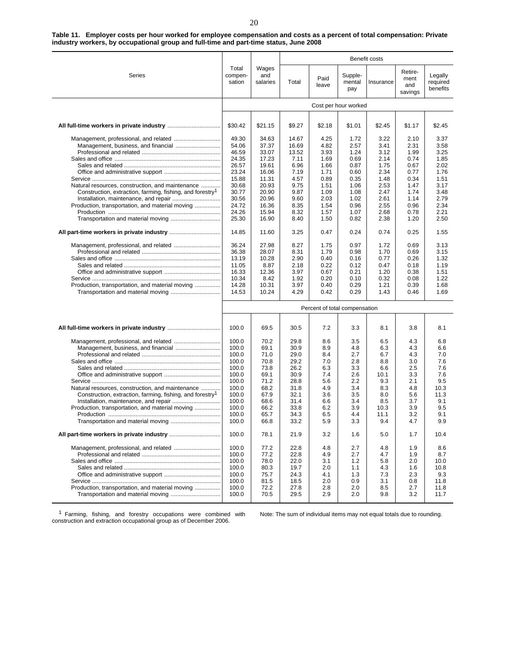**Table 11. Employer costs per hour worked for employee compensation and costs as a percent of total compensation: Private industry workers, by occupational group and full-time and part-time status, June 2008**

|                                                                       |                            |                          |        |                               |                          | Benefit costs |                                   |                                 |
|-----------------------------------------------------------------------|----------------------------|--------------------------|--------|-------------------------------|--------------------------|---------------|-----------------------------------|---------------------------------|
| Series                                                                | Total<br>compen-<br>sation | Wages<br>and<br>salaries | Total  | Paid<br>leave                 | Supple-<br>mental<br>pay | Insurance     | Retire-<br>ment<br>and<br>savings | Legally<br>required<br>benefits |
|                                                                       |                            |                          |        |                               | Cost per hour worked     |               |                                   |                                 |
|                                                                       |                            |                          |        |                               |                          |               |                                   |                                 |
|                                                                       | \$30.42                    | \$21.15                  | \$9.27 | \$2.18                        | \$1.01                   | \$2.45        | \$1.17                            | \$2.45                          |
| Management, professional, and related                                 | 49.30                      | 34.63                    | 14.67  | 4.25                          | 1.72                     | 3.22          | 2.10                              | 3.37                            |
|                                                                       | 54.06                      | 37.37                    | 16.69  | 4.82                          | 2.57                     | 3.41          | 2.31                              | 3.58                            |
|                                                                       | 46.59                      | 33.07                    | 13.52  | 3.93                          | 1.24                     | 3.12          | 1.99                              | 3.25                            |
|                                                                       | 24.35                      | 17.23                    | 7.11   | 1.69                          | 0.69                     | 2.14          | 0.74                              | 1.85                            |
|                                                                       | 26.57                      | 19.61                    | 6.96   | 1.66                          | 0.87                     | 1.75          | 0.67                              | 2.02                            |
|                                                                       | 23.24                      | 16.06                    | 7.19   | 1.71                          | 0.60                     | 2.34          | 0.77                              | 1.76                            |
|                                                                       | 15.88                      | 11.31                    | 4.57   | 0.89                          | 0.35                     | 1.48          | 0.34                              | 1.51                            |
| Natural resources, construction, and maintenance                      | 30.68                      | 20.93                    | 9.75   | 1.51                          | 1.06                     | 2.53          | 1.47                              | 3.17                            |
| Construction, extraction, farming, fishing, and forestry <sup>1</sup> | 30.77                      | 20.90                    | 9.87   | 1.09                          | 1.08                     | 2.47          | 1.74                              | 3.48                            |
|                                                                       | 30.56                      | 20.96                    | 9.60   | 2.03                          | 1.02                     | 2.61          | 1.14                              | 2.79                            |
| Production, transportation, and material moving                       | 24.72                      | 16.36                    | 8.35   | 1.54                          | 0.96                     | 2.55          | 0.96                              | 2.34                            |
|                                                                       | 24.26                      | 15.94                    | 8.32   | 1.57                          | 1.07                     | 2.68          | 0.78                              | 2.21                            |
|                                                                       | 25.30                      | 16.90                    | 8.40   | 1.50                          | 0.82                     | 2.38          | 1.20                              | 2.50                            |
|                                                                       | 14.85                      | 11.60                    | 3.25   | 0.47                          | 0.24                     | 0.74          | 0.25                              | 1.55                            |
|                                                                       | 36.24                      | 27.98                    | 8.27   | 1.75                          | 0.97                     | 1.72          | 0.69                              | 3.13                            |
|                                                                       | 36.38                      | 28.07                    | 8.31   | 1.79                          | 0.98                     | 1.70          | 0.69                              | 3.15                            |
|                                                                       | 13.19                      | 10.28                    | 2.90   | 0.40                          | 0.16                     | 0.77          | 0.26                              | 1.32                            |
|                                                                       | 11.05                      | 8.87                     | 2.18   | 0.22                          | 0.12                     | 0.47          | 0.18                              | 1.19                            |
|                                                                       | 16.33                      | 12.36                    | 3.97   | 0.67                          | 0.21                     | 1.20          | 0.38                              | 1.51                            |
|                                                                       | 10.34                      | 8.42                     | 1.92   | 0.20                          | 0.10                     | 0.32          | 0.08                              | 1.22                            |
| Production, transportation, and material moving                       | 14.28                      | 10.31                    | 3.97   | 0.40                          | 0.29                     | 1.21          | 0.39                              | 1.68                            |
| Transportation and material moving                                    | 14.53                      | 10.24                    | 4.29   | 0.42                          | 0.29                     | 1.43          | 0.46                              | 1.69                            |
|                                                                       |                            |                          |        | Percent of total compensation |                          |               |                                   |                                 |
|                                                                       |                            |                          |        |                               |                          |               |                                   |                                 |
|                                                                       | 100.0                      | 69.5                     | 30.5   | 7.2                           | 3.3                      | 8.1           | 3.8                               | 8.1                             |
|                                                                       | 100.0                      | 70.2                     | 29.8   | 8.6                           | 3.5                      | 6.5           | 4.3                               | 6.8                             |
|                                                                       | 100.0                      | 69.1                     | 30.9   | 8.9                           | 4.8                      | 6.3           | 4.3                               | 6.6                             |
|                                                                       | 100.0                      | 71.0                     | 29.0   | 8.4                           | 2.7                      | 6.7           | 4.3                               | 7.0                             |
|                                                                       | 100.0                      | 70.8                     | 29.2   | 7.0                           | 2.8                      | 8.8           | 3.0                               | 7.6                             |
|                                                                       | 100.0                      | 73.8                     | 26.2   | 6.3                           | 3.3                      | 6.6           | 2.5                               | 7.6                             |
|                                                                       | 100.0                      | 69.1                     | 30.9   | 7.4                           | 2.6                      | 10.1          | 3.3                               | 7.6                             |
|                                                                       | 100.0                      | 71.2                     | 28.8   | 5.6                           | 2.2                      | 9.3           | 2.1                               | 9.5                             |
| Natural resources, construction, and maintenance                      | 100.0                      | 68.2                     | 31.8   | 4.9                           | 3.4                      | 8.3           | 4.8                               | 10.3                            |
| Construction, extraction, farming, fishing, and forestry <sup>1</sup> | 100.0                      | 67.9                     | 32.1   | 3.6                           | 3.5                      | 8.0           | 5.6                               | 11.3                            |
|                                                                       | 100.0                      | 68.6                     | 31.4   | 6.6                           | 3.4                      | 8.5           | 3.7                               | 9.1                             |
| Production, transportation, and material moving                       | 100.0                      | 66.2                     | 33.8   | 6.2                           | 3.9                      | 10.3          | 3.9                               | 9.5                             |
|                                                                       | 100.0                      | 65.7                     | 34.3   | 6.5                           | 4.4                      | 11.1          | 3.2                               | 9.1                             |
| Transportation and material moving                                    | 100.0                      | 66.8                     | 33.2   | 5.9                           | 3.3                      | 9.4           | 4.7                               | 9.9                             |
|                                                                       | 100.0                      | 78.1                     | 21.9   | 3.2                           | 1.6                      | 5.0           | 1.7                               | 10.4                            |
|                                                                       | 100.0                      | 77.2                     | 22.8   | 4.8                           | 2.7                      | 4.8           | 1.9                               | 8.6                             |
|                                                                       | 100.0                      | 77.2                     | 22.8   | 4.9                           | 2.7                      | 4.7           | 1.9                               | 8.7                             |
|                                                                       | 100.0                      | 78.0                     | 22.0   | 3.1                           | 1.2                      | 5.8           | 2.0                               | 10.0                            |
|                                                                       | 100.0                      | 80.3                     | 19.7   | 2.0                           | 1.1                      | 4.3           | 1.6                               | 10.8                            |
|                                                                       | 100.0                      | 75.7                     | 24.3   | 4.1                           | 1.3                      | 7.3           | 2.3                               | 9.3                             |
|                                                                       | 100.0                      | 81.5                     | 18.5   | 2.0                           | 0.9                      | 3.1           | 0.8                               | 11.8                            |
| Production, transportation, and material moving                       | 100.0                      | 72.2                     | 27.8   | 2.8                           | 2.0                      | 8.5           | 2.7                               | 11.8                            |
|                                                                       | 100.0                      | 70.5                     | 29.5   | 2.9                           | 2.0                      | 9.8           | 3.2                               | 11.7                            |

<sup>1</sup> Farming, fishing, and forestry occupations were combined with construction and extraction occupational group as of December 2006.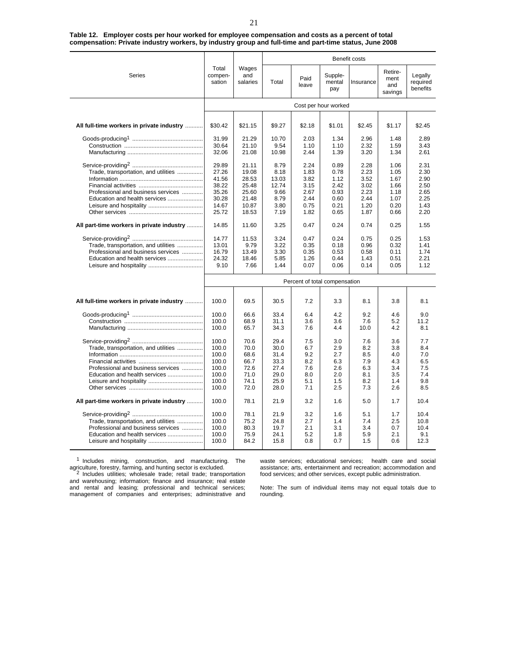|                                                                                                             |                                                                      |                                                                      | Benefit costs                                                  |                                                              |                                                              |                                                              |                                                              |                                                              |  |
|-------------------------------------------------------------------------------------------------------------|----------------------------------------------------------------------|----------------------------------------------------------------------|----------------------------------------------------------------|--------------------------------------------------------------|--------------------------------------------------------------|--------------------------------------------------------------|--------------------------------------------------------------|--------------------------------------------------------------|--|
| Series                                                                                                      | Total<br>compen-<br>sation                                           | Wages<br>and<br>salaries                                             | Total                                                          | Paid<br>leave                                                | Supple-<br>mental<br>pay                                     | Insurance                                                    | Retire-<br>ment<br>and<br>savings                            | Legally<br>required<br>benefits                              |  |
|                                                                                                             | Cost per hour worked                                                 |                                                                      |                                                                |                                                              |                                                              |                                                              |                                                              |                                                              |  |
| All full-time workers in private industry                                                                   | \$30.42                                                              | \$21.15                                                              | \$9.27                                                         | \$2.18                                                       | \$1.01                                                       | \$2.45                                                       | \$1.17                                                       | \$2.45                                                       |  |
|                                                                                                             |                                                                      |                                                                      |                                                                |                                                              |                                                              |                                                              |                                                              |                                                              |  |
|                                                                                                             | 31.99<br>30.64<br>32.06                                              | 21.29<br>21.10<br>21.08                                              | 10.70<br>9.54<br>10.98                                         | 2.03<br>1.10<br>2.44                                         | 1.34<br>1.10<br>1.39                                         | 2.96<br>2.32<br>3.20                                         | 1.48<br>1.59<br>1.34                                         | 2.89<br>3.43<br>2.61                                         |  |
| Trade, transportation, and utilities<br>Professional and business services<br>Education and health services | 29.89<br>27.26<br>41.56<br>38.22<br>35.26<br>30.28<br>14.67<br>25.72 | 21.11<br>19.08<br>28.53<br>25.48<br>25.60<br>21.48<br>10.87<br>18.53 | 8.79<br>8.18<br>13.03<br>12.74<br>9.66<br>8.79<br>3.80<br>7.19 | 2.24<br>1.83<br>3.82<br>3.15<br>2.67<br>2.44<br>0.75<br>1.82 | 0.89<br>0.78<br>1.12<br>2.42<br>0.93<br>0.60<br>0.21<br>0.65 | 2.28<br>2.23<br>3.52<br>3.02<br>2.23<br>2.44<br>1.20<br>1.87 | 1.06<br>1.05<br>1.67<br>1.66<br>1.18<br>1.07<br>0.20<br>0.66 | 2.31<br>2.30<br>2.90<br>2.50<br>2.65<br>2.25<br>1.43<br>2.20 |  |
| All part-time workers in private industry                                                                   | 14.85                                                                | 11.60                                                                | 3.25                                                           | 0.47                                                         | 0.24                                                         | 0.74                                                         | 0.25                                                         | 1.55                                                         |  |
| Trade, transportation, and utilities<br>Professional and business services<br>Education and health services | 14.77<br>13.01<br>16.79<br>24.32<br>9.10                             | 11.53<br>9.79<br>13.49<br>18.46<br>7.66                              | 3.24<br>3.22<br>3.30<br>5.85<br>1.44                           | 0.47<br>0.35<br>0.35<br>1.26<br>0.07                         | 0.24<br>0.18<br>0.53<br>0.44<br>0.06                         | 0.75<br>0.96<br>0.58<br>1.43<br>0.14                         | 0.25<br>0.32<br>0.11<br>0.51<br>0.05                         | 1.53<br>1.41<br>1.74<br>2.21<br>1.12                         |  |
|                                                                                                             | Percent of total compensation                                        |                                                                      |                                                                |                                                              |                                                              |                                                              |                                                              |                                                              |  |
| All full-time workers in private industry                                                                   | 100.0                                                                | 69.5                                                                 | 30.5                                                           | 7.2                                                          | 3.3                                                          | 8.1                                                          | 3.8                                                          | 8.1                                                          |  |
|                                                                                                             | 100.0<br>100.0<br>100.0                                              | 66.6<br>68.9<br>65.7                                                 | 33.4<br>31.1<br>34.3                                           | 6.4<br>3.6<br>7.6                                            | 4.2<br>3.6<br>4.4                                            | 9.2<br>7.6<br>10.0                                           | 4.6<br>5.2<br>4.2                                            | 9.0<br>11.2<br>8.1                                           |  |
| Trade, transportation, and utilities<br>Professional and business services<br>Education and health services | 100.0<br>100.0<br>100.0<br>100.0<br>100.0<br>100.0<br>100.0<br>100.0 | 70.6<br>70.0<br>68.6<br>66.7<br>72.6<br>71.0<br>74.1<br>72.0         | 29.4<br>30.0<br>31.4<br>33.3<br>27.4<br>29.0<br>25.9<br>28.0   | 7.5<br>6.7<br>9.2<br>8.2<br>7.6<br>8.0<br>5.1<br>7.1         | 3.0<br>2.9<br>2.7<br>6.3<br>2.6<br>2.0<br>1.5<br>2.5         | 7.6<br>8.2<br>8.5<br>7.9<br>6.3<br>8.1<br>8.2<br>7.3         | 3.6<br>3.8<br>4.0<br>4.3<br>3.4<br>3.5<br>1.4<br>2.6         | 7.7<br>8.4<br>7.0<br>6.5<br>7.5<br>7.4<br>9.8<br>8.5         |  |
| All part-time workers in private industry                                                                   | 100.0                                                                | 78.1                                                                 | 21.9                                                           | 3.2                                                          | 1.6                                                          | 5.0                                                          | 1.7                                                          | 10.4                                                         |  |
| Trade, transportation, and utilities<br>Professional and business services<br>Education and health services | 100.0<br>100.0<br>100.0<br>100.0<br>100.0                            | 78.1<br>75.2<br>80.3<br>75.9<br>84.2                                 | 21.9<br>24.8<br>19.7<br>24.1<br>15.8                           | 3.2<br>2.7<br>2.1<br>5.2<br>0.8                              | 1.6<br>1.4<br>3.1<br>1.8<br>0.7                              | 5.1<br>7.4<br>3.4<br>5.9<br>1.5                              | 1.7<br>2.5<br>0.7<br>2.1<br>0.6                              | 10.4<br>10.8<br>10.4<br>9.1<br>12.3                          |  |

#### **Table 12. Employer costs per hour worked for employee compensation and costs as a percent of total compensation: Private industry workers, by industry group and full-time and part-time status, June 2008**

<sup>1</sup> Includes mining, construction, and manufacturing. The agriculture, forestry, farming, and hunting sector is excluded.<br><sup>2</sup> Includes utilities; wholesale trade; retail trade; transportation

waste services; educational services; health care and social assistance; arts, entertainment and recreation; accommodation and food services; and other services, except public administration.

and warehousing; information; finance and insurance; real estate and rental and leasing; professional and technical services; management of companies and enterprises; administrative and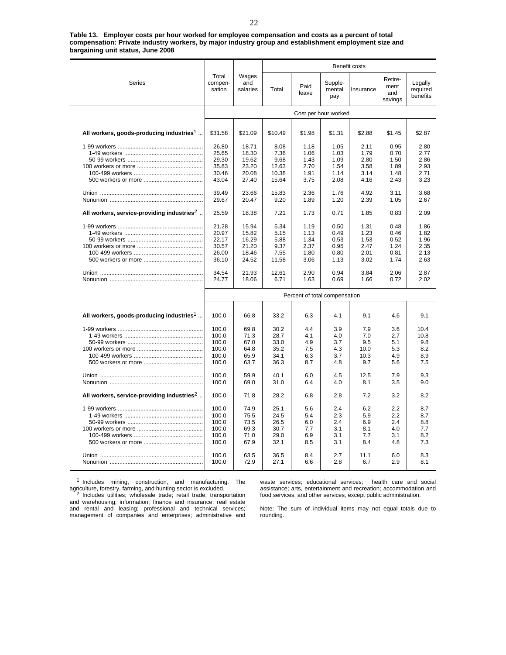**Table 13. Employer costs per hour worked for employee compensation and costs as a percent of total compensation: Private industry workers, by major industry group and establishment employment size and bargaining unit status, June 2008**

l,

j.

|                                                        |                               |                          | Benefit costs |               |                          |           |                                   |                                 |  |
|--------------------------------------------------------|-------------------------------|--------------------------|---------------|---------------|--------------------------|-----------|-----------------------------------|---------------------------------|--|
| <b>Series</b>                                          | Total<br>compen-<br>sation    | Wages<br>and<br>salaries | Total         | Paid<br>leave | Supple-<br>mental<br>pay | Insurance | Retire-<br>ment<br>and<br>savings | Legally<br>required<br>benefits |  |
|                                                        | Cost per hour worked          |                          |               |               |                          |           |                                   |                                 |  |
|                                                        |                               |                          |               |               |                          |           |                                   |                                 |  |
| All workers, goods-producing industries <sup>1</sup>   | \$31.58                       | \$21.09                  | \$10.49       | \$1.98        | \$1.31                   | \$2.88    | \$1.45                            | \$2.87                          |  |
|                                                        | 26.80                         | 18.71                    | 8.08          | 1.18          | 1.05                     | 2.11      | 0.95                              | 2.80                            |  |
|                                                        | 25.65                         | 18.30                    | 7.36          | 1.06          | 1.03                     | 1.79      | 0.70                              | 2.77                            |  |
|                                                        | 29.30                         | 19.62                    | 9.68          | 1.43          | 1.09                     | 2.80      | 1.50                              | 2.86                            |  |
|                                                        | 35.83                         | 23.20                    | 12.63         | 2.70          | 1.54                     | 3.58      | 1.89                              | 2.93                            |  |
|                                                        | 30.46                         | 20.08                    | 10.38         | 1.91          | 1.14                     | 3.14      | 1.48                              | 2.71                            |  |
|                                                        | 43.04                         | 27.40                    | 15.64         | 3.75          | 2.08                     | 4.16      | 2.43                              | 3.23                            |  |
|                                                        | 39.49                         | 23.66                    | 15.83         | 2.36          | 1.76                     | 4.92      | 3.11                              | 3.68                            |  |
|                                                        | 29.67                         | 20.47                    | 9.20          | 1.89          | 1.20                     | 2.39      | 1.05                              | 2.67                            |  |
| All workers, service-providing industries $2$          | 25.59                         | 18.38                    | 7.21          | 1.73          | 0.71                     | 1.85      | 0.83                              | 2.09                            |  |
|                                                        | 21.28                         | 15.94                    | 5.34          | 1.19          | 0.50                     | 1.31      | 0.48                              | 1.86                            |  |
|                                                        | 20.97                         | 15.82                    | 5.15          | 1.13          | 0.49                     | 1.23      | 0.46                              | 1.82                            |  |
|                                                        | 22.17                         | 16.29                    | 5.88          | 1.34          | 0.53                     | 1.53      | 0.52                              | 1.96                            |  |
|                                                        | 30.57                         | 21.20                    | 9.37          | 2.37          | 0.95                     | 2.47      | 1.24                              | 2.35                            |  |
|                                                        | 26.00                         | 18.46                    | 7.55          | 1.80          | 0.80                     | 2.01      | 0.81                              | 2.13                            |  |
|                                                        | 36.10                         | 24.52                    | 11.58         | 3.06          | 1.13                     | 3.02      | 1.74                              | 2.63                            |  |
|                                                        | 34.54                         | 21.93                    | 12.61         | 2.90          | 0.94                     | 3.84      | 2.06                              | 2.87                            |  |
|                                                        | 24.77                         | 18.06                    | 6.71          | 1.63          | 0.69                     | 1.66      | 0.72                              | 2.02                            |  |
|                                                        | Percent of total compensation |                          |               |               |                          |           |                                   |                                 |  |
|                                                        |                               |                          |               |               |                          |           |                                   |                                 |  |
| All workers, goods-producing industries <sup>1</sup>   | 100.0                         | 66.8                     | 33.2          | 6.3           | 4.1                      | 9.1       | 4.6                               | 9.1                             |  |
|                                                        | 100.0                         | 69.8                     | 30.2          | 4.4           | 3.9                      | 7.9       | 3.6                               | 10.4                            |  |
|                                                        | 100.0                         | 71.3                     | 28.7          | 4.1           | 4.0                      | 7.0       | 2.7                               | 10.8                            |  |
|                                                        | 100.0                         | 67.0                     | 33.0          | 4.9           | 3.7                      | 9.5       | 5.1                               | 9.8                             |  |
|                                                        | 100.0                         | 64.8                     | 35.2          | 7.5           | 4.3                      | 10.0      | 5.3                               | 8.2                             |  |
|                                                        | 100.0                         | 65.9                     | 34.1          | 6.3           | 3.7                      | 10.3      | 4.9                               | 8.9                             |  |
|                                                        | 100.0                         | 63.7                     | 36.3          | 8.7           | 4.8                      | 9.7       | 5.6                               | 7.5                             |  |
|                                                        | 100.0                         | 59.9                     | 40.1          | 6.0           | 4.5                      | 12.5      | 7.9                               | 9.3                             |  |
|                                                        | 100.0                         | 69.0                     | 31.0          | 6.4           | 4.0                      | 8.1       | 3.5                               | 9.0                             |  |
| All workers, service-providing industries <sup>2</sup> | 100.0                         | 71.8                     | 28.2          | 6.8           | 2.8                      | 7.2       | 3.2                               | 8.2                             |  |
|                                                        | 100.0                         | 74.9                     | 25.1          | 5.6           | 2.4                      | 6.2       | 2.2                               | 8.7                             |  |
|                                                        | 100.0                         | 75.5                     | 24.5          | 5.4           | 2.3                      | 5.9       | 2.2                               | 8.7                             |  |
|                                                        | 100.0                         | 73.5                     | 26.5          | 6.0           | 2.4                      | 6.9       | 2.4                               | 8.8                             |  |
|                                                        | 100.0                         | 69.3                     | 30.7          | 7.7           | 3.1                      | 8.1       | 4.0                               | 7.7                             |  |
|                                                        | 100.0                         | 71.0                     | 29.0          | 6.9           | 3.1                      | 7.7       | 3.1                               | 8.2                             |  |
|                                                        | 100.0                         | 67.9                     | 32.1          | 8.5           | 3.1                      | 8.4       | 4.8                               | 7.3                             |  |
|                                                        | 100.0                         | 63.5                     | 36.5          | 8.4           | 2.7                      | 11.1      | 6.0                               | 8.3                             |  |
|                                                        | 100.0                         | 72.9                     | 27.1          | 6.6           | 2.8                      | 6.7       | 2.9                               | 8.1                             |  |
|                                                        |                               |                          |               |               |                          |           |                                   |                                 |  |

 $1$  Includes mining, construction, and manufacturing. The agriculture, forestry, farming, and hunting sector is excluded.

waste services; educational services; health care and social assistance; arts, entertainment and recreation; accommodation and food services; and other services, except public administration.

<sup>2</sup> Includes utilities; wholesale trade; retail trade; transportation and warehousing; information; finance and insurance; real estate and rental and leasing; professional and technical services; management of companies and enterprises; administrative and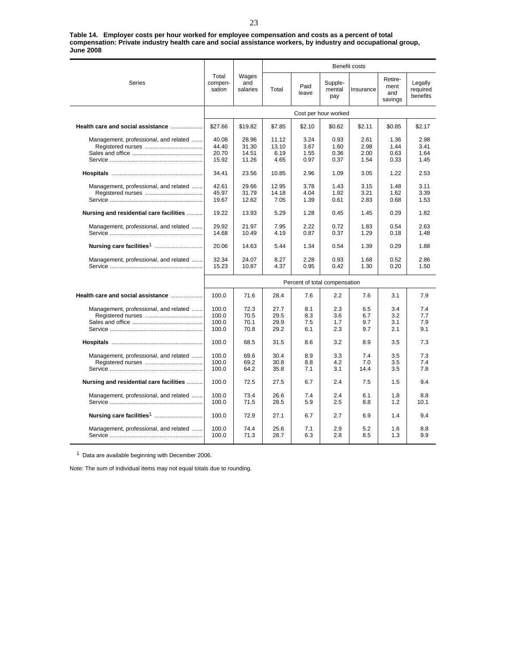**Table 14. Employer costs per hour worked for employee compensation and costs as a percent of total compensation: Private industry health care and social assistance workers, by industry and occupational group, June 2008**

|                                         |                                  | Wages<br>and<br>salaries         | Benefit costs                  |                              |                              |                              |                                   |                                 |  |
|-----------------------------------------|----------------------------------|----------------------------------|--------------------------------|------------------------------|------------------------------|------------------------------|-----------------------------------|---------------------------------|--|
| Series                                  | Total<br>compen-<br>sation       |                                  | Total                          | Paid<br>leave                | Supple-<br>mental<br>pay     | Insurance                    | Retire-<br>ment<br>and<br>savings | Legally<br>required<br>benefits |  |
|                                         | Cost per hour worked             |                                  |                                |                              |                              |                              |                                   |                                 |  |
| Health care and social assistance       | \$27.66                          | \$19.82                          | \$7.85                         | \$2.10                       | \$0.62                       | \$2.11                       | \$0.85                            | \$2.17                          |  |
| Management, professional, and related   | 40.08<br>44.40<br>20.70<br>15.92 | 28.96<br>31.30<br>14.51<br>11.26 | 11.12<br>13.10<br>6.19<br>4.65 | 3.24<br>3.67<br>1.55<br>0.97 | 0.93<br>1.60<br>0.36<br>0.37 | 2.61<br>2.98<br>2.00<br>1.54 | 1.36<br>1.44<br>0.63<br>0.33      | 2.98<br>3.41<br>1.64<br>1.45    |  |
|                                         | 34.41                            | 23.56                            | 10.85                          | 2.96                         | 1.09                         | 3.05                         | 1.22                              | 2.53                            |  |
| Management, professional, and related   | 42.61<br>45.97<br>19.67          | 29.66<br>31.79<br>12.62          | 12.95<br>14.18<br>7.05         | 3.78<br>4.04<br>1.39         | 1.43<br>1.92<br>0.61         | 3.15<br>3.21<br>2.83         | 1.48<br>1.62<br>0.68              | 3.11<br>3.39<br>1.53            |  |
| Nursing and residential care facilities | 19.22                            | 13.93                            | 5.29                           | 1.28                         | 0.45                         | 1.45                         | 0.29                              | 1.82                            |  |
| Management, professional, and related   | 29.92<br>14.68                   | 21.97<br>10.49                   | 7.95<br>4.19                   | 2.22<br>0.87                 | 0.72<br>0.37                 | 1.83<br>1.29                 | 0.54<br>0.18                      | 2.63<br>1.48                    |  |
|                                         | 20.06                            | 14.63                            | 5.44                           | 1.34                         | 0.54                         | 1.39                         | 0.29                              | 1.88                            |  |
| Management, professional, and related   | 32.34<br>15.23                   | 24.07<br>10.87                   | 8.27<br>4.37                   | 2.28<br>0.95                 | 0.93<br>0.42                 | 1.68<br>1.30                 | 0.52<br>0.20                      | 2.86<br>1.50                    |  |
|                                         | Percent of total compensation    |                                  |                                |                              |                              |                              |                                   |                                 |  |
| Health care and social assistance       | 100.0                            | 71.6                             | 28.4                           | 7.6                          | 2.2                          | 7.6                          | 3.1                               | 7.9                             |  |
| Management, professional, and related   | 100.0<br>100.0<br>100.0<br>100.0 | 72.3<br>70.5<br>70.1<br>70.8     | 27.7<br>29.5<br>29.9<br>29.2   | 8.1<br>8.3<br>7.5<br>6.1     | 2.3<br>3.6<br>1.7<br>2.3     | 6.5<br>6.7<br>9.7<br>9.7     | 3.4<br>3.2<br>3.1<br>2.1          | 7.4<br>7.7<br>7.9<br>9.1        |  |
|                                         | 100.0                            | 68.5                             | 31.5                           | 8.6                          | 3.2                          | 8.9                          | 3.5                               | 7.3                             |  |
| Management, professional, and related   | 100.0<br>100.0<br>100.0          | 69.6<br>69.2<br>64.2             | 30.4<br>30.8<br>35.8           | 8.9<br>8.8<br>7.1            | 3.3<br>4.2<br>3.1            | 7.4<br>7.0<br>14.4           | 3.5<br>3.5<br>3.5                 | 7.3<br>7.4<br>7.8               |  |
| Nursing and residential care facilities | 100.0                            | 72.5                             | 27.5                           | 6.7                          | 2.4                          | 7.5                          | 1.5                               | 9.4                             |  |
| Management, professional, and related   | 100.0<br>100.0                   | 73.4<br>71.5                     | 26.6<br>28.5                   | 7.4<br>5.9                   | 2.4<br>2.5                   | 6.1<br>8.8                   | 1.8<br>1.2                        | 8.8<br>10.1                     |  |
|                                         | 100.0                            | 72.9                             | 27.1                           | 6.7                          | 2.7                          | 6.9                          | 1.4                               | 9.4                             |  |
| Management, professional, and related   | 100.0<br>100.0                   | 74.4<br>71.3                     | 25.6<br>28.7                   | 7.1<br>6.3                   | 2.9<br>2.8                   | 5.2<br>8.5                   | 1.6<br>1.3                        | 8.8<br>9.9                      |  |

<sup>1</sup> Data are available beginning with December 2006.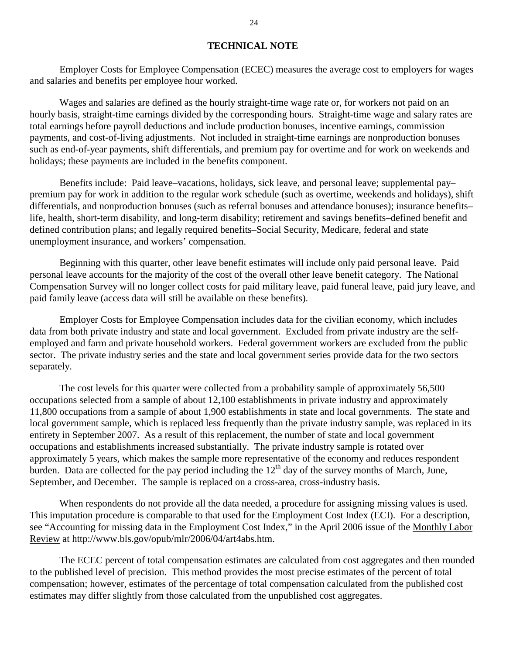## **TECHNICAL NOTE**

Employer Costs for Employee Compensation (ECEC) measures the average cost to employers for wages and salaries and benefits per employee hour worked.

Wages and salaries are defined as the hourly straight-time wage rate or, for workers not paid on an hourly basis, straight-time earnings divided by the corresponding hours. Straight-time wage and salary rates are total earnings before payroll deductions and include production bonuses, incentive earnings, commission payments, and cost-of-living adjustments. Not included in straight-time earnings are nonproduction bonuses such as end-of-year payments, shift differentials, and premium pay for overtime and for work on weekends and holidays; these payments are included in the benefits component.

Benefits include: Paid leave–vacations, holidays, sick leave, and personal leave; supplemental pay– premium pay for work in addition to the regular work schedule (such as overtime, weekends and holidays), shift differentials, and nonproduction bonuses (such as referral bonuses and attendance bonuses); insurance benefits– life, health, short-term disability, and long-term disability; retirement and savings benefits–defined benefit and defined contribution plans; and legally required benefits–Social Security, Medicare, federal and state unemployment insurance, and workers' compensation.

Beginning with this quarter, other leave benefit estimates will include only paid personal leave. Paid personal leave accounts for the majority of the cost of the overall other leave benefit category. The National Compensation Survey will no longer collect costs for paid military leave, paid funeral leave, paid jury leave, and paid family leave (access data will still be available on these benefits).

Employer Costs for Employee Compensation includes data for the civilian economy, which includes data from both private industry and state and local government. Excluded from private industry are the selfemployed and farm and private household workers. Federal government workers are excluded from the public sector. The private industry series and the state and local government series provide data for the two sectors separately.

The cost levels for this quarter were collected from a probability sample of approximately 56,500 occupations selected from a sample of about 12,100 establishments in private industry and approximately 11,800 occupations from a sample of about 1,900 establishments in state and local governments. The state and local government sample, which is replaced less frequently than the private industry sample, was replaced in its entirety in September 2007. As a result of this replacement, the number of state and local government occupations and establishments increased substantially. The private industry sample is rotated over approximately 5 years, which makes the sample more representative of the economy and reduces respondent burden. Data are collected for the pay period including the  $12<sup>th</sup>$  day of the survey months of March, June, September, and December. The sample is replaced on a cross-area, cross-industry basis.

When respondents do not provide all the data needed, a procedure for assigning missing values is used. This imputation procedure is comparable to that used for the Employment Cost Index (ECI). For a description, see "Accounting for missing data in the Employment Cost Index," in the April 2006 issue of the Monthly Labor Review at http://www.bls.gov/opub/mlr/2006/04/art4abs.htm.

The ECEC percent of total compensation estimates are calculated from cost aggregates and then rounded to the published level of precision. This method provides the most precise estimates of the percent of total compensation; however, estimates of the percentage of total compensation calculated from the published cost estimates may differ slightly from those calculated from the unpublished cost aggregates.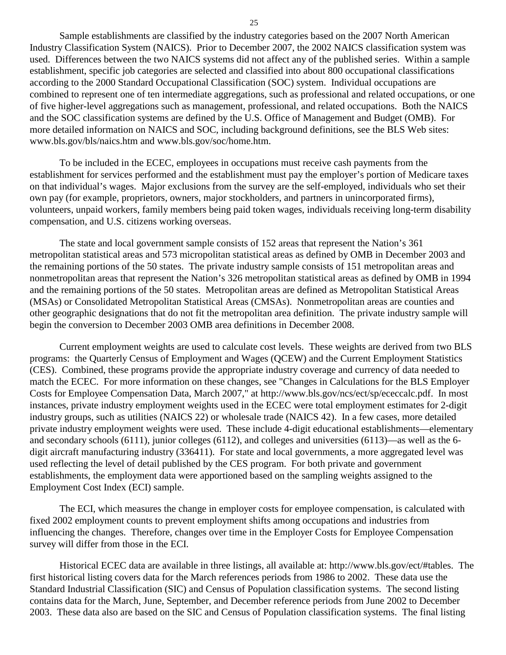Sample establishments are classified by the industry categories based on the 2007 North American Industry Classification System (NAICS). Prior to December 2007, the 2002 NAICS classification system was used. Differences between the two NAICS systems did not affect any of the published series. Within a sample establishment, specific job categories are selected and classified into about 800 occupational classifications according to the 2000 Standard Occupational Classification (SOC) system. Individual occupations are combined to represent one of ten intermediate aggregations, such as professional and related occupations, or one of five higher-level aggregations such as management, professional, and related occupations. Both the NAICS and the SOC classification systems are defined by the U.S. Office of Management and Budget (OMB). For more detailed information on NAICS and SOC, including background definitions, see the BLS Web sites: www.bls.gov/bls/naics.htm and www.bls.gov/soc/home.htm.

To be included in the ECEC, employees in occupations must receive cash payments from the establishment for services performed and the establishment must pay the employer's portion of Medicare taxes on that individual's wages. Major exclusions from the survey are the self-employed, individuals who set their own pay (for example, proprietors, owners, major stockholders, and partners in unincorporated firms), volunteers, unpaid workers, family members being paid token wages, individuals receiving long-term disability compensation, and U.S. citizens working overseas.

The state and local government sample consists of 152 areas that represent the Nation's 361 metropolitan statistical areas and 573 micropolitan statistical areas as defined by OMB in December 2003 and the remaining portions of the 50 states. The private industry sample consists of 151 metropolitan areas and nonmetropolitan areas that represent the Nation's 326 metropolitan statistical areas as defined by OMB in 1994 and the remaining portions of the 50 states. Metropolitan areas are defined as Metropolitan Statistical Areas (MSAs) or Consolidated Metropolitan Statistical Areas (CMSAs). Nonmetropolitan areas are counties and other geographic designations that do not fit the metropolitan area definition. The private industry sample will begin the conversion to December 2003 OMB area definitions in December 2008.

Current employment weights are used to calculate cost levels. These weights are derived from two BLS programs: the Quarterly Census of Employment and Wages (QCEW) and the Current Employment Statistics (CES). Combined, these programs provide the appropriate industry coverage and currency of data needed to match the ECEC. For more information on these changes, see "Changes in Calculations for the BLS Employer Costs for Employee Compensation Data, March 2007," at http://www.bls.gov/ncs/ect/sp/ececcalc.pdf. In most instances, private industry employment weights used in the ECEC were total employment estimates for 2-digit industry groups, such as utilities (NAICS 22) or wholesale trade (NAICS 42). In a few cases, more detailed private industry employment weights were used. These include 4-digit educational establishments—elementary and secondary schools (6111), junior colleges (6112), and colleges and universities (6113)—as well as the 6 digit aircraft manufacturing industry (336411). For state and local governments, a more aggregated level was used reflecting the level of detail published by the CES program. For both private and government establishments, the employment data were apportioned based on the sampling weights assigned to the Employment Cost Index (ECI) sample.

The ECI, which measures the change in employer costs for employee compensation, is calculated with fixed 2002 employment counts to prevent employment shifts among occupations and industries from influencing the changes. Therefore, changes over time in the Employer Costs for Employee Compensation survey will differ from those in the ECI.

Historical ECEC data are available in three listings, all available at: http://www.bls.gov/ect/#tables. The first historical listing covers data for the March references periods from 1986 to 2002. These data use the Standard Industrial Classification (SIC) and Census of Population classification systems. The second listing contains data for the March, June, September, and December reference periods from June 2002 to December 2003. These data also are based on the SIC and Census of Population classification systems. The final listing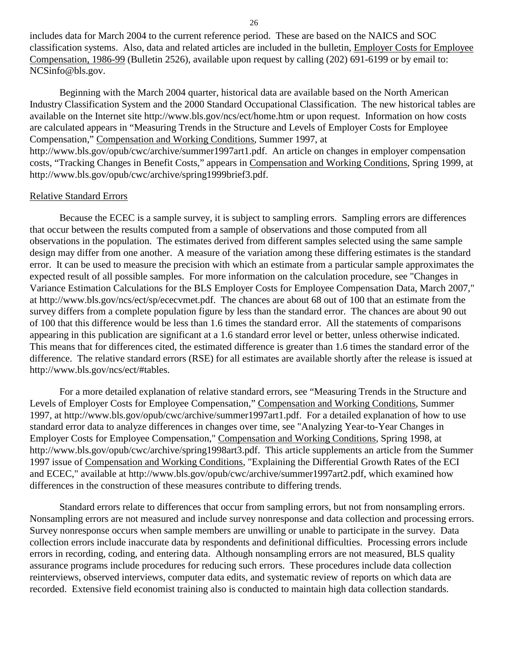includes data for March 2004 to the current reference period. These are based on the NAICS and SOC classification systems. Also, data and related articles are included in the bulletin, Employer Costs for Employee Compensation, 1986-99 (Bulletin 2526), available upon request by calling (202) 691-6199 or by email to: NCSinfo@bls.gov.

Beginning with the March 2004 quarter, historical data are available based on the North American Industry Classification System and the 2000 Standard Occupational Classification. The new historical tables are available on the Internet site http://www.bls.gov/ncs/ect/home.htm or upon request. Information on how costs are calculated appears in "Measuring Trends in the Structure and Levels of Employer Costs for Employee Compensation," Compensation and Working Conditions, Summer 1997, at

http://www.bls.gov/opub/cwc/archive/summer1997art1.pdf. An article on changes in employer compensation costs, "Tracking Changes in Benefit Costs," appears in Compensation and Working Conditions, Spring 1999, at http://www.bls.gov/opub/cwc/archive/spring1999brief3.pdf.

#### Relative Standard Errors

Because the ECEC is a sample survey, it is subject to sampling errors. Sampling errors are differences that occur between the results computed from a sample of observations and those computed from all observations in the population. The estimates derived from different samples selected using the same sample design may differ from one another. A measure of the variation among these differing estimates is the standard error. It can be used to measure the precision with which an estimate from a particular sample approximates the expected result of all possible samples. For more information on the calculation procedure, see "Changes in Variance Estimation Calculations for the BLS Employer Costs for Employee Compensation Data, March 2007," at http://www.bls.gov/ncs/ect/sp/ececvmet.pdf. The chances are about 68 out of 100 that an estimate from the survey differs from a complete population figure by less than the standard error. The chances are about 90 out of 100 that this difference would be less than 1.6 times the standard error. All the statements of comparisons appearing in this publication are significant at a 1.6 standard error level or better, unless otherwise indicated. This means that for differences cited, the estimated difference is greater than 1.6 times the standard error of the difference. The relative standard errors (RSE) for all estimates are available shortly after the release is issued at http://www.bls.gov/ncs/ect/#tables.

For a more detailed explanation of relative standard errors, see "Measuring Trends in the Structure and Levels of Employer Costs for Employee Compensation," Compensation and Working Conditions, Summer 1997, at http://www.bls.gov/opub/cwc/archive/summer1997art1.pdf. For a detailed explanation of how to use standard error data to analyze differences in changes over time, see "Analyzing Year-to-Year Changes in Employer Costs for Employee Compensation," Compensation and Working Conditions, Spring 1998, at http://www.bls.gov/opub/cwc/archive/spring1998art3.pdf. This article supplements an article from the Summer 1997 issue of Compensation and Working Conditions, "Explaining the Differential Growth Rates of the ECI and ECEC," available at http://www.bls.gov/opub/cwc/archive/summer1997art2.pdf, which examined how differences in the construction of these measures contribute to differing trends.

Standard errors relate to differences that occur from sampling errors, but not from nonsampling errors. Nonsampling errors are not measured and include survey nonresponse and data collection and processing errors. Survey nonresponse occurs when sample members are unwilling or unable to participate in the survey. Data collection errors include inaccurate data by respondents and definitional difficulties. Processing errors include errors in recording, coding, and entering data. Although nonsampling errors are not measured, BLS quality assurance programs include procedures for reducing such errors. These procedures include data collection reinterviews, observed interviews, computer data edits, and systematic review of reports on which data are recorded. Extensive field economist training also is conducted to maintain high data collection standards.